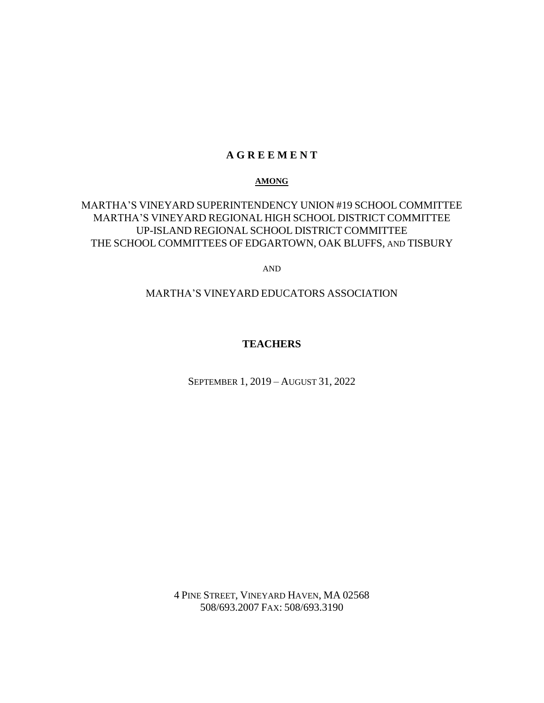#### **A G R E E M E N T**

#### **AMONG**

# MARTHA'S VINEYARD SUPERINTENDENCY UNION #19 SCHOOL COMMITTEE MARTHA'S VINEYARD REGIONAL HIGH SCHOOL DISTRICT COMMITTEE UP-ISLAND REGIONAL SCHOOL DISTRICT COMMITTEE THE SCHOOL COMMITTEES OF EDGARTOWN, OAK BLUFFS, AND TISBURY

AND

# MARTHA'S VINEYARD EDUCATORS ASSOCIATION

# **TEACHERS**

SEPTEMBER 1, 2019 – AUGUST 31, 2022

4 PINE STREET, VINEYARD HAVEN, MA 02568 508/693.2007 FAX: 508/693.3190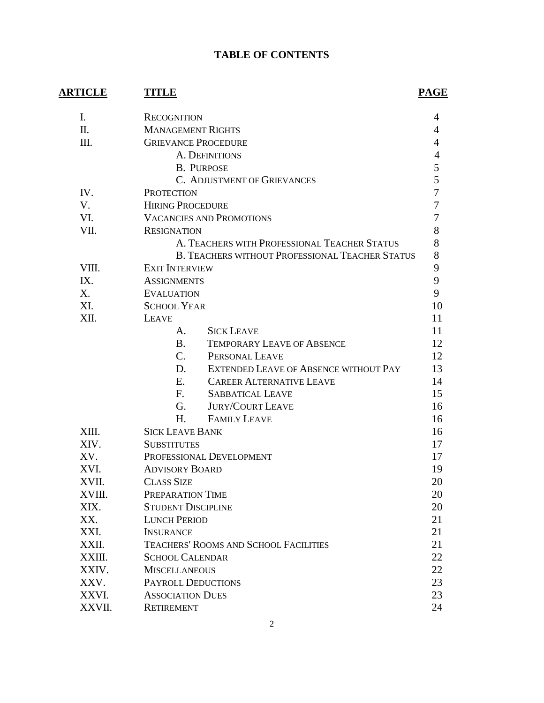# **TABLE OF CONTENTS**

| <b>ARTICLE</b> | TITLE                                                  | PAGE |
|----------------|--------------------------------------------------------|------|
| Ι.             | <b>RECOGNITION</b>                                     | 4    |
| Π.             | <b>MANAGEMENT RIGHTS</b>                               | 4    |
| Ш.             | <b>GRIEVANCE PROCEDURE</b>                             | 4    |
|                | A. DEFINITIONS                                         | 4    |
|                | <b>B. PURPOSE</b>                                      | 5    |
|                | C. ADJUSTMENT OF GRIEVANCES                            | 5    |
| IV.            | <b>PROTECTION</b>                                      | 7    |
| V.             | <b>HIRING PROCEDURE</b>                                | 7    |
| VI.            | <b>VACANCIES AND PROMOTIONS</b>                        | 7    |
| VII.           | <b>RESIGNATION</b>                                     | 8    |
|                | A. TEACHERS WITH PROFESSIONAL TEACHER STATUS           | 8    |
|                | <b>B. TEACHERS WITHOUT PROFESSIONAL TEACHER STATUS</b> | 8    |
| VIII.          | <b>EXIT INTERVIEW</b>                                  | 9    |
| IX.            | <b>ASSIGNMENTS</b>                                     | 9    |
| X.             | <b>EVALUATION</b>                                      | 9    |
| XI.            | <b>SCHOOL YEAR</b>                                     | 10   |
| XII.           | <b>LEAVE</b>                                           | 11   |
|                | <b>SICK LEAVE</b><br>A.                                | 11   |
|                | <b>B.</b><br><b>TEMPORARY LEAVE OF ABSENCE</b>         | 12   |
|                | $C_{\cdot}$<br>PERSONAL LEAVE                          | 12   |
|                | EXTENDED LEAVE OF ABSENCE WITHOUT PAY<br>D.            | 13   |
|                | E.<br><b>CAREER ALTERNATIVE LEAVE</b>                  | 14   |
|                | F.<br><b>SABBATICAL LEAVE</b>                          | 15   |
|                | <b>JURY/COURT LEAVE</b><br>G.                          | 16   |
|                | H.<br><b>FAMILY LEAVE</b>                              | 16   |
| XIII.          | <b>SICK LEAVE BANK</b>                                 | 16   |
| XIV.           | <b>SUBSTITUTES</b>                                     | 17   |
| XV.            | PROFESSIONAL DEVELOPMENT                               | 17   |
| XVI.           | <b>ADVISORY BOARD</b>                                  | 19   |
| XVII.          | <b>CLASS SIZE</b>                                      | 20   |
| XVIII.         | PREPARATION TIME                                       | 20   |
| XIX.           | <b>STUDENT DISCIPLINE</b>                              | 20   |
| XX.            | <b>LUNCH PERIOD</b>                                    | 21   |
| XXI.           | <b>INSURANCE</b>                                       | 21   |
| XXII.          | TEACHERS' ROOMS AND SCHOOL FACILITIES                  | 21   |
| XXIII.         | <b>SCHOOL CALENDAR</b>                                 | 22   |
| XXIV.          | <b>MISCELLANEOUS</b>                                   | 22   |
| XXV.           | PAYROLL DEDUCTIONS                                     | 23   |
| XXVI.          | <b>ASSOCIATION DUES</b>                                | 23   |
| XXVII.         | <b>RETIREMENT</b>                                      | 24   |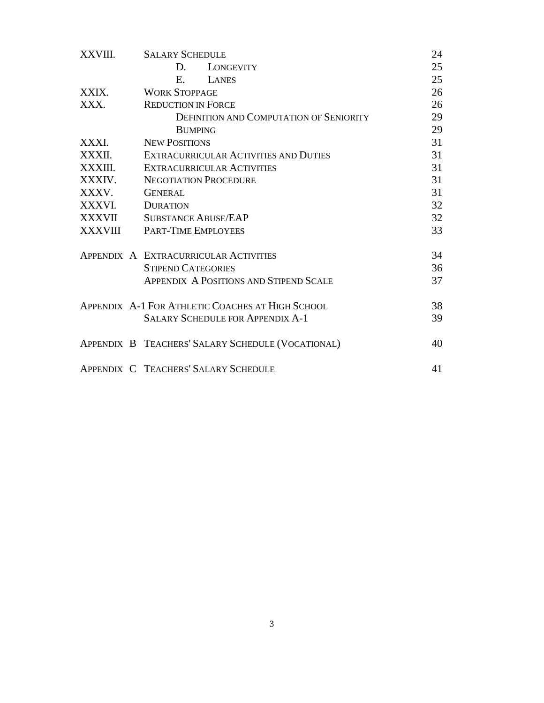| XXVIII. | <b>SALARY SCHEDULE</b>                            | 24 |
|---------|---------------------------------------------------|----|
|         | D.<br>LONGEVITY                                   | 25 |
|         | $E =$<br>LANES                                    | 25 |
| XXIX.   | <b>WORK STOPPAGE</b>                              | 26 |
| XXX.    | <b>REDUCTION IN FORCE</b>                         | 26 |
|         | <b>DEFINITION AND COMPUTATION OF SENIORITY</b>    | 29 |
|         | <b>BUMPING</b>                                    | 29 |
| XXXI.   | <b>NEW POSITIONS</b>                              | 31 |
| XXXII.  | EXTRACURRICULAR ACTIVITIES AND DUTIES             | 31 |
| XXXIII. | <b>EXTRACURRICULAR ACTIVITIES</b>                 | 31 |
| XXXIV.  | <b>NEGOTIATION PROCEDURE</b>                      | 31 |
| XXXV.   | <b>GENERAL</b>                                    | 31 |
| XXXVI.  | <b>DURATION</b>                                   | 32 |
| XXXVII  | <b>SUBSTANCE ABUSE/EAP</b>                        | 32 |
| XXXVIII | <b>PART-TIME EMPLOYEES</b>                        | 33 |
|         | APPENDIX A EXTRACURRICULAR ACTIVITIES             | 34 |
|         | <b>STIPEND CATEGORIES</b>                         | 36 |
|         | <b>APPENDIX A POSITIONS AND STIPEND SCALE</b>     | 37 |
|         | APPENDIX A-1 FOR ATHLETIC COACHES AT HIGH SCHOOL  | 38 |
|         | <b>SALARY SCHEDULE FOR APPENDIX A-1</b>           | 39 |
|         | APPENDIX B TEACHERS' SALARY SCHEDULE (VOCATIONAL) | 40 |
|         | APPENDIX C TEACHERS' SALARY SCHEDULE              | 41 |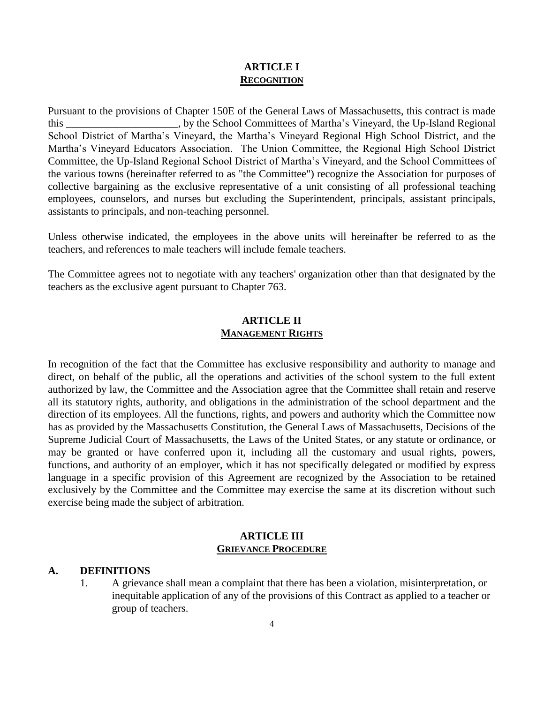# **ARTICLE I RECOGNITION**

Pursuant to the provisions of Chapter 150E of the General Laws of Massachusetts, this contract is made this \_\_\_\_\_\_\_\_\_\_\_\_\_\_\_\_\_\_\_\_\_, by the School Committees of Martha's Vineyard, the Up-Island Regional School District of Martha's Vineyard, the Martha's Vineyard Regional High School District, and the Martha's Vineyard Educators Association. The Union Committee, the Regional High School District Committee, the Up-Island Regional School District of Martha's Vineyard, and the School Committees of the various towns (hereinafter referred to as "the Committee") recognize the Association for purposes of collective bargaining as the exclusive representative of a unit consisting of all professional teaching employees, counselors, and nurses but excluding the Superintendent, principals, assistant principals, assistants to principals, and non-teaching personnel.

Unless otherwise indicated, the employees in the above units will hereinafter be referred to as the teachers, and references to male teachers will include female teachers.

The Committee agrees not to negotiate with any teachers' organization other than that designated by the teachers as the exclusive agent pursuant to Chapter 763.

# **ARTICLE II MANAGEMENT RIGHTS**

In recognition of the fact that the Committee has exclusive responsibility and authority to manage and direct, on behalf of the public, all the operations and activities of the school system to the full extent authorized by law, the Committee and the Association agree that the Committee shall retain and reserve all its statutory rights, authority, and obligations in the administration of the school department and the direction of its employees. All the functions, rights, and powers and authority which the Committee now has as provided by the Massachusetts Constitution, the General Laws of Massachusetts, Decisions of the Supreme Judicial Court of Massachusetts, the Laws of the United States, or any statute or ordinance, or may be granted or have conferred upon it, including all the customary and usual rights, powers, functions, and authority of an employer, which it has not specifically delegated or modified by express language in a specific provision of this Agreement are recognized by the Association to be retained exclusively by the Committee and the Committee may exercise the same at its discretion without such exercise being made the subject of arbitration.

#### **ARTICLE III GRIEVANCE PROCEDURE**

## **A. DEFINITIONS**

1. A grievance shall mean a complaint that there has been a violation, misinterpretation, or inequitable application of any of the provisions of this Contract as applied to a teacher or group of teachers.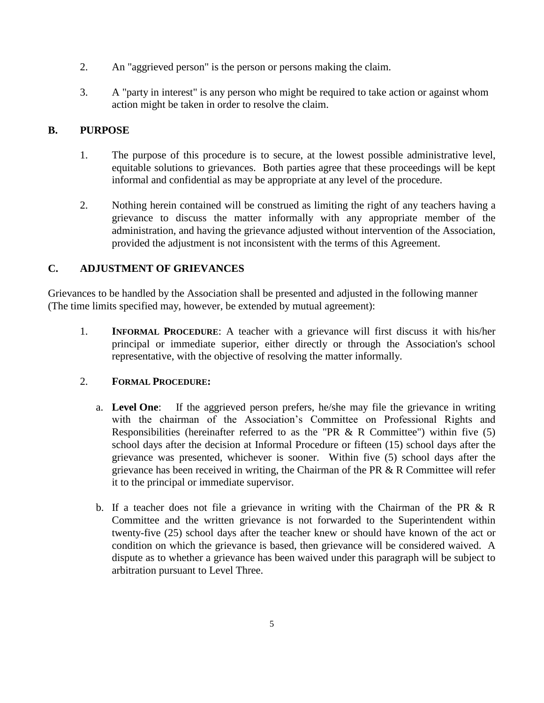- 2. An "aggrieved person" is the person or persons making the claim.
- 3. A "party in interest" is any person who might be required to take action or against whom action might be taken in order to resolve the claim.

# **B. PURPOSE**

- 1. The purpose of this procedure is to secure, at the lowest possible administrative level, equitable solutions to grievances. Both parties agree that these proceedings will be kept informal and confidential as may be appropriate at any level of the procedure.
- 2. Nothing herein contained will be construed as limiting the right of any teachers having a grievance to discuss the matter informally with any appropriate member of the administration, and having the grievance adjusted without intervention of the Association, provided the adjustment is not inconsistent with the terms of this Agreement.

# **C. ADJUSTMENT OF GRIEVANCES**

Grievances to be handled by the Association shall be presented and adjusted in the following manner (The time limits specified may, however, be extended by mutual agreement):

1. **INFORMAL PROCEDURE**: A teacher with a grievance will first discuss it with his/her principal or immediate superior, either directly or through the Association's school representative, with the objective of resolving the matter informally.

## 2. **FORMAL PROCEDURE:**

- a. **Level One**: If the aggrieved person prefers, he/she may file the grievance in writing with the chairman of the Association's Committee on Professional Rights and Responsibilities (hereinafter referred to as the "PR  $& R$  Committee") within five (5) school days after the decision at Informal Procedure or fifteen (15) school days after the grievance was presented, whichever is sooner. Within five (5) school days after the grievance has been received in writing, the Chairman of the PR & R Committee will refer it to the principal or immediate supervisor.
- b. If a teacher does not file a grievance in writing with the Chairman of the PR & R Committee and the written grievance is not forwarded to the Superintendent within twenty-five (25) school days after the teacher knew or should have known of the act or condition on which the grievance is based, then grievance will be considered waived. A dispute as to whether a grievance has been waived under this paragraph will be subject to arbitration pursuant to Level Three.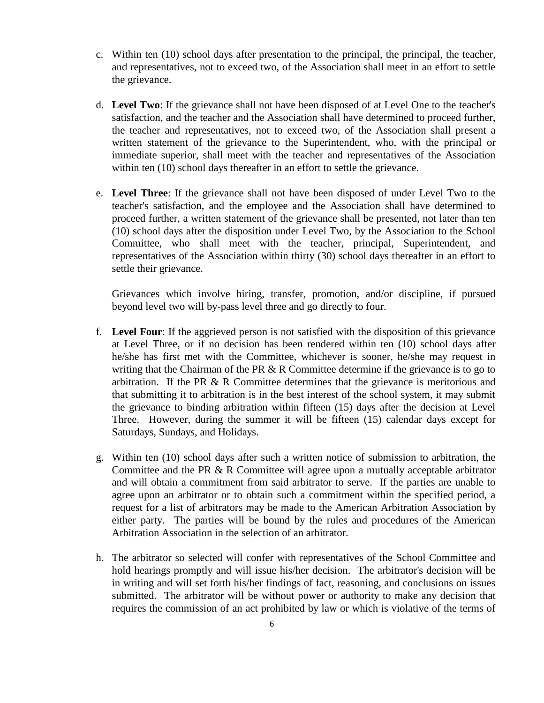- c. Within ten (10) school days after presentation to the principal, the principal, the teacher, and representatives, not to exceed two, of the Association shall meet in an effort to settle the grievance.
- d. **Level Two**: If the grievance shall not have been disposed of at Level One to the teacher's satisfaction, and the teacher and the Association shall have determined to proceed further, the teacher and representatives, not to exceed two, of the Association shall present a written statement of the grievance to the Superintendent, who, with the principal or immediate superior, shall meet with the teacher and representatives of the Association within ten (10) school days thereafter in an effort to settle the grievance.
- e. **Level Three**: If the grievance shall not have been disposed of under Level Two to the teacher's satisfaction, and the employee and the Association shall have determined to proceed further, a written statement of the grievance shall be presented, not later than ten (10) school days after the disposition under Level Two, by the Association to the School Committee, who shall meet with the teacher, principal, Superintendent, and representatives of the Association within thirty (30) school days thereafter in an effort to settle their grievance.

Grievances which involve hiring, transfer, promotion, and/or discipline, if pursued beyond level two will by-pass level three and go directly to four.

- f. **Level Four**: If the aggrieved person is not satisfied with the disposition of this grievance at Level Three, or if no decision has been rendered within ten (10) school days after he/she has first met with the Committee, whichever is sooner, he/she may request in writing that the Chairman of the PR  $&R$  Committee determine if the grievance is to go to arbitration. If the PR  $\& R$  Committee determines that the grievance is meritorious and that submitting it to arbitration is in the best interest of the school system, it may submit the grievance to binding arbitration within fifteen (15) days after the decision at Level Three. However, during the summer it will be fifteen (15) calendar days except for Saturdays, Sundays, and Holidays.
- g. Within ten (10) school days after such a written notice of submission to arbitration, the Committee and the PR & R Committee will agree upon a mutually acceptable arbitrator and will obtain a commitment from said arbitrator to serve. If the parties are unable to agree upon an arbitrator or to obtain such a commitment within the specified period, a request for a list of arbitrators may be made to the American Arbitration Association by either party. The parties will be bound by the rules and procedures of the American Arbitration Association in the selection of an arbitrator.
- h. The arbitrator so selected will confer with representatives of the School Committee and hold hearings promptly and will issue his/her decision. The arbitrator's decision will be in writing and will set forth his/her findings of fact, reasoning, and conclusions on issues submitted. The arbitrator will be without power or authority to make any decision that requires the commission of an act prohibited by law or which is violative of the terms of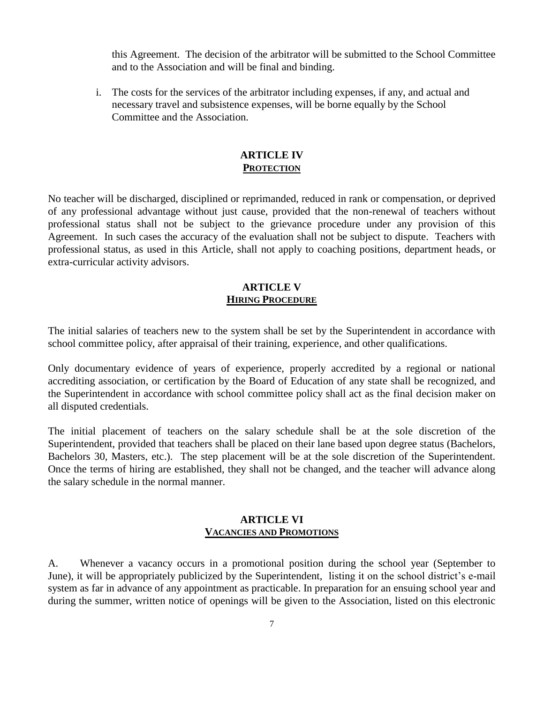this Agreement. The decision of the arbitrator will be submitted to the School Committee and to the Association and will be final and binding.

i. The costs for the services of the arbitrator including expenses, if any, and actual and necessary travel and subsistence expenses, will be borne equally by the School Committee and the Association.

## **ARTICLE IV PROTECTION**

No teacher will be discharged, disciplined or reprimanded, reduced in rank or compensation, or deprived of any professional advantage without just cause, provided that the non-renewal of teachers without professional status shall not be subject to the grievance procedure under any provision of this Agreement. In such cases the accuracy of the evaluation shall not be subject to dispute. Teachers with professional status, as used in this Article, shall not apply to coaching positions, department heads, or extra-curricular activity advisors.

#### **ARTICLE V HIRING PROCEDURE**

The initial salaries of teachers new to the system shall be set by the Superintendent in accordance with school committee policy, after appraisal of their training, experience, and other qualifications.

Only documentary evidence of years of experience, properly accredited by a regional or national accrediting association, or certification by the Board of Education of any state shall be recognized, and the Superintendent in accordance with school committee policy shall act as the final decision maker on all disputed credentials.

The initial placement of teachers on the salary schedule shall be at the sole discretion of the Superintendent, provided that teachers shall be placed on their lane based upon degree status (Bachelors, Bachelors 30, Masters, etc.). The step placement will be at the sole discretion of the Superintendent. Once the terms of hiring are established, they shall not be changed, and the teacher will advance along the salary schedule in the normal manner.

## **ARTICLE VI VACANCIES AND PROMOTIONS**

A. Whenever a vacancy occurs in a promotional position during the school year (September to June), it will be appropriately publicized by the Superintendent, listing it on the school district's e-mail system as far in advance of any appointment as practicable. In preparation for an ensuing school year and during the summer, written notice of openings will be given to the Association, listed on this electronic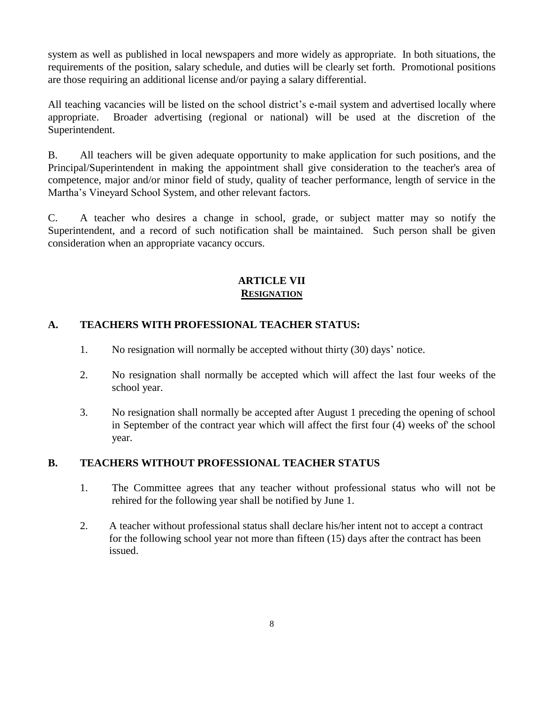system as well as published in local newspapers and more widely as appropriate. In both situations, the requirements of the position, salary schedule, and duties will be clearly set forth. Promotional positions are those requiring an additional license and/or paying a salary differential.

All teaching vacancies will be listed on the school district's e-mail system and advertised locally where appropriate. Broader advertising (regional or national) will be used at the discretion of the Superintendent.

B. All teachers will be given adequate opportunity to make application for such positions, and the Principal/Superintendent in making the appointment shall give consideration to the teacher's area of competence, major and/or minor field of study, quality of teacher performance, length of service in the Martha's Vineyard School System, and other relevant factors.

C. A teacher who desires a change in school, grade, or subject matter may so notify the Superintendent, and a record of such notification shall be maintained. Such person shall be given consideration when an appropriate vacancy occurs.

# **ARTICLE VII RESIGNATION**

# **A. TEACHERS WITH PROFESSIONAL TEACHER STATUS:**

- 1. No resignation will normally be accepted without thirty (30) days' notice.
- 2. No resignation shall normally be accepted which will affect the last four weeks of the school year.
- 3. No resignation shall normally be accepted after August 1 preceding the opening of school in September of the contract year which will affect the first four (4) weeks of' the school year.

# **B. TEACHERS WITHOUT PROFESSIONAL TEACHER STATUS**

- 1. The Committee agrees that any teacher without professional status who will not be rehired for the following year shall be notified by June 1.
- 2. A teacher without professional status shall declare his/her intent not to accept a contract for the following school year not more than fifteen (15) days after the contract has been issued.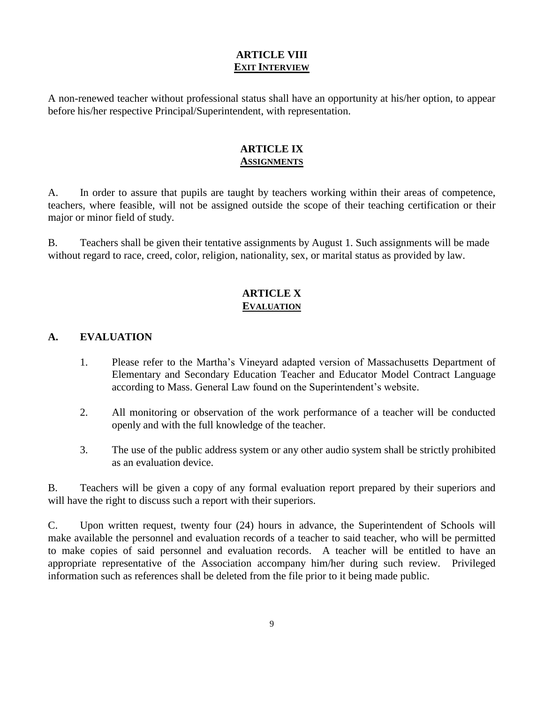# **ARTICLE VIII EXIT INTERVIEW**

A non-renewed teacher without professional status shall have an opportunity at his/her option, to appear before his/her respective Principal/Superintendent, with representation.

# **ARTICLE IX ASSIGNMENTS**

A. In order to assure that pupils are taught by teachers working within their areas of competence, teachers, where feasible, will not be assigned outside the scope of their teaching certification or their major or minor field of study.

B. Teachers shall be given their tentative assignments by August 1. Such assignments will be made without regard to race, creed, color, religion, nationality, sex, or marital status as provided by law.

# **ARTICLE X EVALUATION**

## **A. EVALUATION**

- 1. Please refer to the Martha's Vineyard adapted version of Massachusetts Department of Elementary and Secondary Education Teacher and Educator Model Contract Language according to Mass. General Law found on the Superintendent's website.
- 2. All monitoring or observation of the work performance of a teacher will be conducted openly and with the full knowledge of the teacher.
- 3. The use of the public address system or any other audio system shall be strictly prohibited as an evaluation device.

B. Teachers will be given a copy of any formal evaluation report prepared by their superiors and will have the right to discuss such a report with their superiors.

C. Upon written request, twenty four (24) hours in advance, the Superintendent of Schools will make available the personnel and evaluation records of a teacher to said teacher, who will be permitted to make copies of said personnel and evaluation records. A teacher will be entitled to have an appropriate representative of the Association accompany him/her during such review. Privileged information such as references shall be deleted from the file prior to it being made public.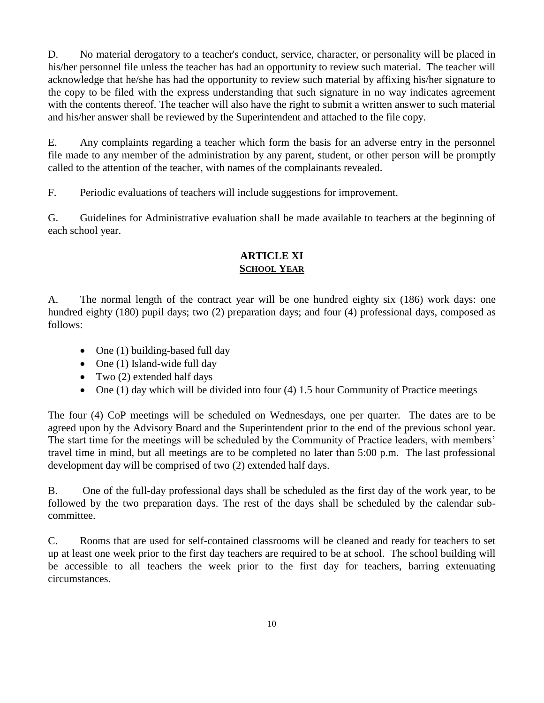D. No material derogatory to a teacher's conduct, service, character, or personality will be placed in his/her personnel file unless the teacher has had an opportunity to review such material. The teacher will acknowledge that he/she has had the opportunity to review such material by affixing his/her signature to the copy to be filed with the express understanding that such signature in no way indicates agreement with the contents thereof. The teacher will also have the right to submit a written answer to such material and his/her answer shall be reviewed by the Superintendent and attached to the file copy.

E. Any complaints regarding a teacher which form the basis for an adverse entry in the personnel file made to any member of the administration by any parent, student, or other person will be promptly called to the attention of the teacher, with names of the complainants revealed.

F. Periodic evaluations of teachers will include suggestions for improvement.

G. Guidelines for Administrative evaluation shall be made available to teachers at the beginning of each school year.

# **ARTICLE XI SCHOOL YEAR**

A. The normal length of the contract year will be one hundred eighty six (186) work days: one hundred eighty (180) pupil days; two (2) preparation days; and four (4) professional days, composed as follows:

- One  $(1)$  building-based full day
- One (1) Island-wide full day
- Two  $(2)$  extended half days
- $\bullet$  One (1) day which will be divided into four (4) 1.5 hour Community of Practice meetings

The four (4) CoP meetings will be scheduled on Wednesdays, one per quarter. The dates are to be agreed upon by the Advisory Board and the Superintendent prior to the end of the previous school year. The start time for the meetings will be scheduled by the Community of Practice leaders, with members' travel time in mind, but all meetings are to be completed no later than 5:00 p.m. The last professional development day will be comprised of two (2) extended half days.

B. One of the full-day professional days shall be scheduled as the first day of the work year, to be followed by the two preparation days. The rest of the days shall be scheduled by the calendar subcommittee.

C. Rooms that are used for self-contained classrooms will be cleaned and ready for teachers to set up at least one week prior to the first day teachers are required to be at school. The school building will be accessible to all teachers the week prior to the first day for teachers, barring extenuating circumstances.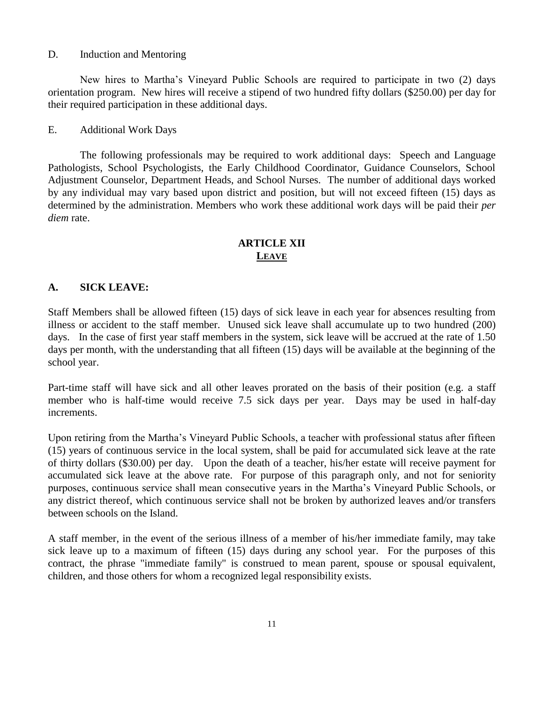#### D. Induction and Mentoring

New hires to Martha's Vineyard Public Schools are required to participate in two (2) days orientation program. New hires will receive a stipend of two hundred fifty dollars (\$250.00) per day for their required participation in these additional days.

#### E. Additional Work Days

The following professionals may be required to work additional days: Speech and Language Pathologists, School Psychologists, the Early Childhood Coordinator, Guidance Counselors, School Adjustment Counselor, Department Heads, and School Nurses. The number of additional days worked by any individual may vary based upon district and position, but will not exceed fifteen (15) days as determined by the administration. Members who work these additional work days will be paid their *per diem* rate.

# **ARTICLE XII LEAVE**

## **A. SICK LEAVE:**

Staff Members shall be allowed fifteen (15) days of sick leave in each year for absences resulting from illness or accident to the staff member. Unused sick leave shall accumulate up to two hundred (200) days. In the case of first year staff members in the system, sick leave will be accrued at the rate of 1.50 days per month, with the understanding that all fifteen (15) days will be available at the beginning of the school year.

Part-time staff will have sick and all other leaves prorated on the basis of their position (e.g. a staff member who is half-time would receive 7.5 sick days per year. Days may be used in half-day increments.

Upon retiring from the Martha's Vineyard Public Schools, a teacher with professional status after fifteen (15) years of continuous service in the local system, shall be paid for accumulated sick leave at the rate of thirty dollars (\$30.00) per day. Upon the death of a teacher, his/her estate will receive payment for accumulated sick leave at the above rate. For purpose of this paragraph only, and not for seniority purposes, continuous service shall mean consecutive years in the Martha's Vineyard Public Schools, or any district thereof, which continuous service shall not be broken by authorized leaves and/or transfers between schools on the Island.

A staff member, in the event of the serious illness of a member of his/her immediate family, may take sick leave up to a maximum of fifteen (15) days during any school year. For the purposes of this contract, the phrase "immediate family" is construed to mean parent, spouse or spousal equivalent, children, and those others for whom a recognized legal responsibility exists.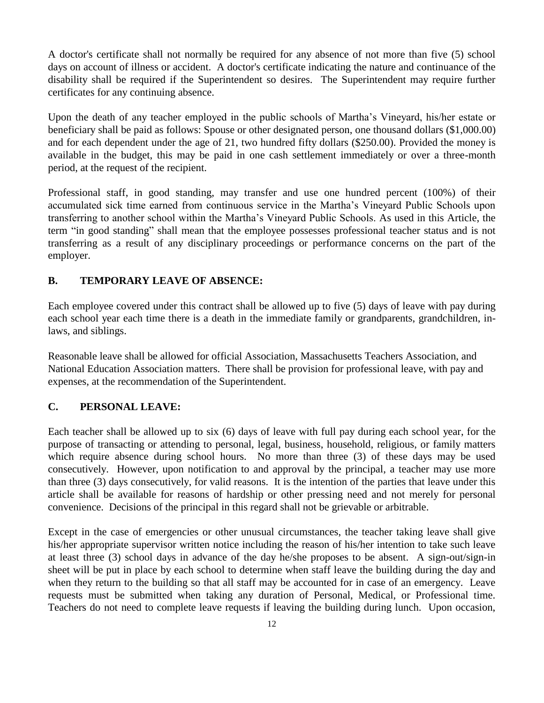A doctor's certificate shall not normally be required for any absence of not more than five (5) school days on account of illness or accident. A doctor's certificate indicating the nature and continuance of the disability shall be required if the Superintendent so desires. The Superintendent may require further certificates for any continuing absence.

Upon the death of any teacher employed in the public schools of Martha's Vineyard, his/her estate or beneficiary shall be paid as follows: Spouse or other designated person, one thousand dollars (\$1,000.00) and for each dependent under the age of 21, two hundred fifty dollars (\$250.00). Provided the money is available in the budget, this may be paid in one cash settlement immediately or over a three-month period, at the request of the recipient.

Professional staff, in good standing, may transfer and use one hundred percent (100%) of their accumulated sick time earned from continuous service in the Martha's Vineyard Public Schools upon transferring to another school within the Martha's Vineyard Public Schools. As used in this Article, the term "in good standing" shall mean that the employee possesses professional teacher status and is not transferring as a result of any disciplinary proceedings or performance concerns on the part of the employer.

# **B. TEMPORARY LEAVE OF ABSENCE:**

Each employee covered under this contract shall be allowed up to five (5) days of leave with pay during each school year each time there is a death in the immediate family or grandparents, grandchildren, inlaws, and siblings.

Reasonable leave shall be allowed for official Association, Massachusetts Teachers Association, and National Education Association matters. There shall be provision for professional leave, with pay and expenses, at the recommendation of the Superintendent.

# **C. PERSONAL LEAVE:**

Each teacher shall be allowed up to six (6) days of leave with full pay during each school year, for the purpose of transacting or attending to personal, legal, business, household, religious, or family matters which require absence during school hours. No more than three (3) of these days may be used consecutively. However, upon notification to and approval by the principal, a teacher may use more than three (3) days consecutively, for valid reasons. It is the intention of the parties that leave under this article shall be available for reasons of hardship or other pressing need and not merely for personal convenience. Decisions of the principal in this regard shall not be grievable or arbitrable.

Except in the case of emergencies or other unusual circumstances, the teacher taking leave shall give his/her appropriate supervisor written notice including the reason of his/her intention to take such leave at least three (3) school days in advance of the day he/she proposes to be absent. A sign-out/sign-in sheet will be put in place by each school to determine when staff leave the building during the day and when they return to the building so that all staff may be accounted for in case of an emergency. Leave requests must be submitted when taking any duration of Personal, Medical, or Professional time. Teachers do not need to complete leave requests if leaving the building during lunch. Upon occasion,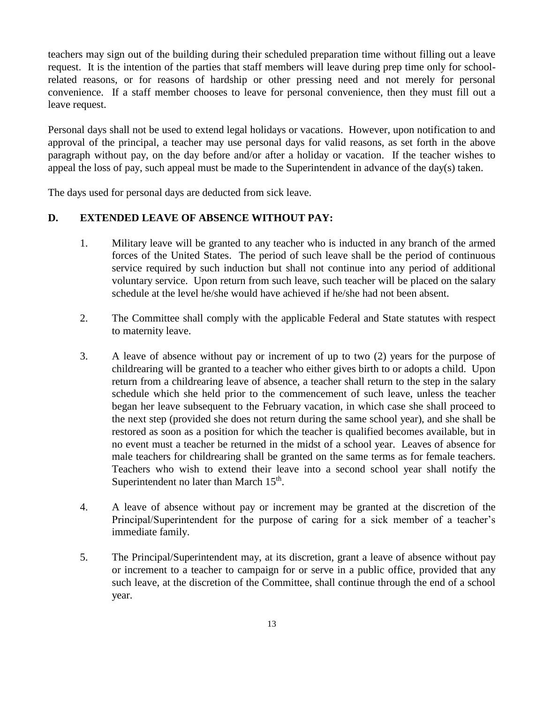teachers may sign out of the building during their scheduled preparation time without filling out a leave request. It is the intention of the parties that staff members will leave during prep time only for schoolrelated reasons, or for reasons of hardship or other pressing need and not merely for personal convenience. If a staff member chooses to leave for personal convenience, then they must fill out a leave request.

Personal days shall not be used to extend legal holidays or vacations. However, upon notification to and approval of the principal, a teacher may use personal days for valid reasons, as set forth in the above paragraph without pay, on the day before and/or after a holiday or vacation. If the teacher wishes to appeal the loss of pay, such appeal must be made to the Superintendent in advance of the day(s) taken.

The days used for personal days are deducted from sick leave.

## **D. EXTENDED LEAVE OF ABSENCE WITHOUT PAY:**

- 1. Military leave will be granted to any teacher who is inducted in any branch of the armed forces of the United States. The period of such leave shall be the period of continuous service required by such induction but shall not continue into any period of additional voluntary service. Upon return from such leave, such teacher will be placed on the salary schedule at the level he/she would have achieved if he/she had not been absent.
- 2. The Committee shall comply with the applicable Federal and State statutes with respect to maternity leave.
- 3. A leave of absence without pay or increment of up to two (2) years for the purpose of childrearing will be granted to a teacher who either gives birth to or adopts a child. Upon return from a childrearing leave of absence, a teacher shall return to the step in the salary schedule which she held prior to the commencement of such leave, unless the teacher began her leave subsequent to the February vacation, in which case she shall proceed to the next step (provided she does not return during the same school year), and she shall be restored as soon as a position for which the teacher is qualified becomes available, but in no event must a teacher be returned in the midst of a school year. Leaves of absence for male teachers for childrearing shall be granted on the same terms as for female teachers. Teachers who wish to extend their leave into a second school year shall notify the Superintendent no later than March  $15<sup>th</sup>$ .
- 4. A leave of absence without pay or increment may be granted at the discretion of the Principal/Superintendent for the purpose of caring for a sick member of a teacher's immediate family.
- 5. The Principal/Superintendent may, at its discretion, grant a leave of absence without pay or increment to a teacher to campaign for or serve in a public office, provided that any such leave, at the discretion of the Committee, shall continue through the end of a school year.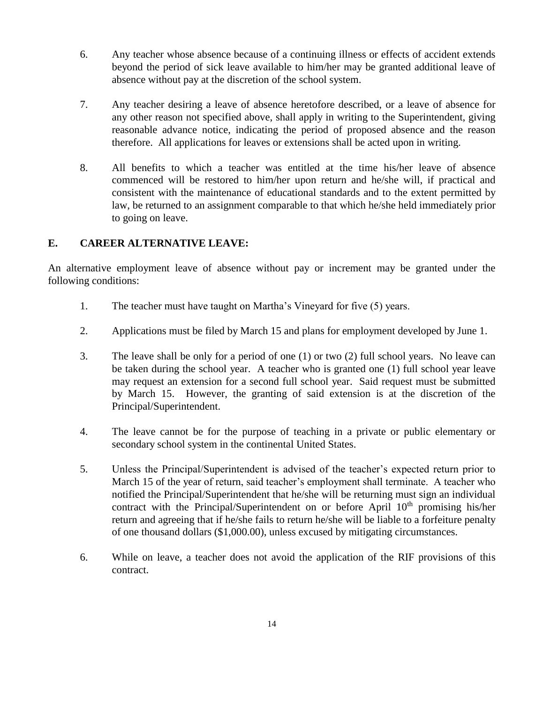- 6. Any teacher whose absence because of a continuing illness or effects of accident extends beyond the period of sick leave available to him/her may be granted additional leave of absence without pay at the discretion of the school system.
- 7. Any teacher desiring a leave of absence heretofore described, or a leave of absence for any other reason not specified above, shall apply in writing to the Superintendent, giving reasonable advance notice, indicating the period of proposed absence and the reason therefore. All applications for leaves or extensions shall be acted upon in writing.
- 8. All benefits to which a teacher was entitled at the time his/her leave of absence commenced will be restored to him/her upon return and he/she will, if practical and consistent with the maintenance of educational standards and to the extent permitted by law, be returned to an assignment comparable to that which he/she held immediately prior to going on leave.

# **E. CAREER ALTERNATIVE LEAVE:**

An alternative employment leave of absence without pay or increment may be granted under the following conditions:

- 1. The teacher must have taught on Martha's Vineyard for five (5) years.
- 2. Applications must be filed by March 15 and plans for employment developed by June 1.
- 3. The leave shall be only for a period of one (1) or two (2) full school years. No leave can be taken during the school year. A teacher who is granted one (1) full school year leave may request an extension for a second full school year. Said request must be submitted by March 15. However, the granting of said extension is at the discretion of the Principal/Superintendent.
- 4. The leave cannot be for the purpose of teaching in a private or public elementary or secondary school system in the continental United States.
- 5. Unless the Principal/Superintendent is advised of the teacher's expected return prior to March 15 of the year of return, said teacher's employment shall terminate. A teacher who notified the Principal/Superintendent that he/she will be returning must sign an individual contract with the Principal/Superintendent on or before April  $10<sup>th</sup>$  promising his/her return and agreeing that if he/she fails to return he/she will be liable to a forfeiture penalty of one thousand dollars (\$1,000.00), unless excused by mitigating circumstances.
- 6. While on leave, a teacher does not avoid the application of the RIF provisions of this contract.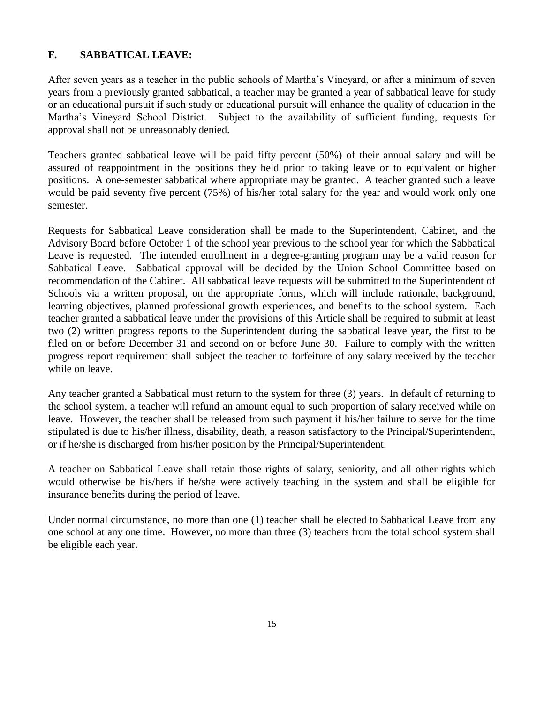# **F. SABBATICAL LEAVE:**

After seven years as a teacher in the public schools of Martha's Vineyard, or after a minimum of seven years from a previously granted sabbatical, a teacher may be granted a year of sabbatical leave for study or an educational pursuit if such study or educational pursuit will enhance the quality of education in the Martha's Vineyard School District. Subject to the availability of sufficient funding, requests for approval shall not be unreasonably denied.

Teachers granted sabbatical leave will be paid fifty percent (50%) of their annual salary and will be assured of reappointment in the positions they held prior to taking leave or to equivalent or higher positions. A one-semester sabbatical where appropriate may be granted. A teacher granted such a leave would be paid seventy five percent (75%) of his/her total salary for the year and would work only one semester.

Requests for Sabbatical Leave consideration shall be made to the Superintendent, Cabinet, and the Advisory Board before October 1 of the school year previous to the school year for which the Sabbatical Leave is requested. The intended enrollment in a degree-granting program may be a valid reason for Sabbatical Leave. Sabbatical approval will be decided by the Union School Committee based on recommendation of the Cabinet. All sabbatical leave requests will be submitted to the Superintendent of Schools via a written proposal, on the appropriate forms, which will include rationale, background, learning objectives, planned professional growth experiences, and benefits to the school system. Each teacher granted a sabbatical leave under the provisions of this Article shall be required to submit at least two (2) written progress reports to the Superintendent during the sabbatical leave year, the first to be filed on or before December 31 and second on or before June 30. Failure to comply with the written progress report requirement shall subject the teacher to forfeiture of any salary received by the teacher while on leave.

Any teacher granted a Sabbatical must return to the system for three (3) years. In default of returning to the school system, a teacher will refund an amount equal to such proportion of salary received while on leave. However, the teacher shall be released from such payment if his/her failure to serve for the time stipulated is due to his/her illness, disability, death, a reason satisfactory to the Principal/Superintendent, or if he/she is discharged from his/her position by the Principal/Superintendent.

A teacher on Sabbatical Leave shall retain those rights of salary, seniority, and all other rights which would otherwise be his/hers if he/she were actively teaching in the system and shall be eligible for insurance benefits during the period of leave.

Under normal circumstance, no more than one (1) teacher shall be elected to Sabbatical Leave from any one school at any one time. However, no more than three (3) teachers from the total school system shall be eligible each year.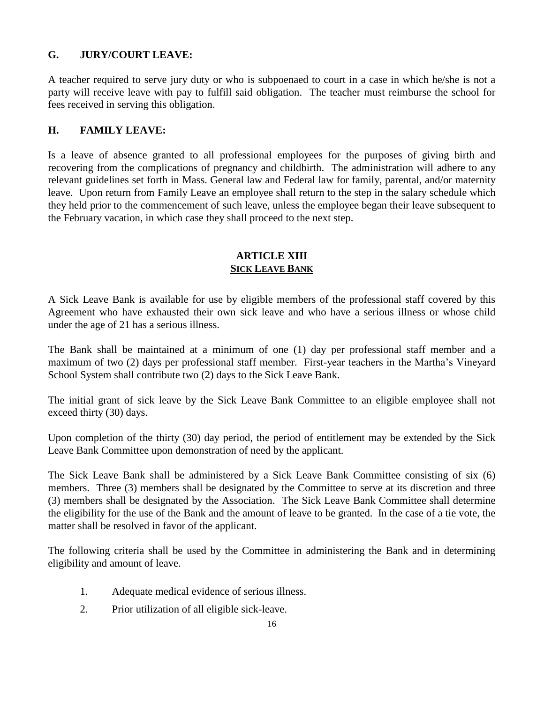# **G. JURY/COURT LEAVE:**

A teacher required to serve jury duty or who is subpoenaed to court in a case in which he/she is not a party will receive leave with pay to fulfill said obligation. The teacher must reimburse the school for fees received in serving this obligation.

# **H. FAMILY LEAVE:**

Is a leave of absence granted to all professional employees for the purposes of giving birth and recovering from the complications of pregnancy and childbirth. The administration will adhere to any relevant guidelines set forth in Mass. General law and Federal law for family, parental, and/or maternity leave. Upon return from Family Leave an employee shall return to the step in the salary schedule which they held prior to the commencement of such leave, unless the employee began their leave subsequent to the February vacation, in which case they shall proceed to the next step.

## **ARTICLE XIII SICK LEAVE BANK**

A Sick Leave Bank is available for use by eligible members of the professional staff covered by this Agreement who have exhausted their own sick leave and who have a serious illness or whose child under the age of 21 has a serious illness.

The Bank shall be maintained at a minimum of one (1) day per professional staff member and a maximum of two (2) days per professional staff member. First-year teachers in the Martha's Vineyard School System shall contribute two (2) days to the Sick Leave Bank.

The initial grant of sick leave by the Sick Leave Bank Committee to an eligible employee shall not exceed thirty (30) days.

Upon completion of the thirty (30) day period, the period of entitlement may be extended by the Sick Leave Bank Committee upon demonstration of need by the applicant.

The Sick Leave Bank shall be administered by a Sick Leave Bank Committee consisting of six (6) members. Three (3) members shall be designated by the Committee to serve at its discretion and three (3) members shall be designated by the Association. The Sick Leave Bank Committee shall determine the eligibility for the use of the Bank and the amount of leave to be granted. In the case of a tie vote, the matter shall be resolved in favor of the applicant.

The following criteria shall be used by the Committee in administering the Bank and in determining eligibility and amount of leave.

- 1. Adequate medical evidence of serious illness.
- 2. Prior utilization of all eligible sick-leave.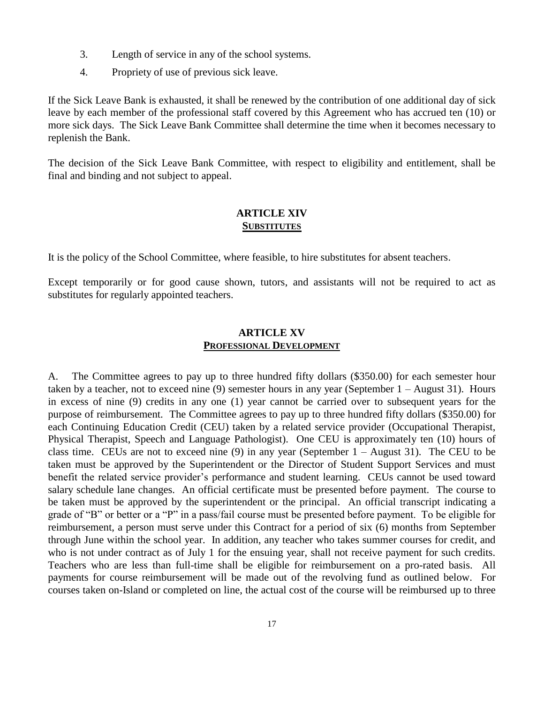- 3. Length of service in any of the school systems.
- 4. Propriety of use of previous sick leave.

If the Sick Leave Bank is exhausted, it shall be renewed by the contribution of one additional day of sick leave by each member of the professional staff covered by this Agreement who has accrued ten (10) or more sick days. The Sick Leave Bank Committee shall determine the time when it becomes necessary to replenish the Bank.

The decision of the Sick Leave Bank Committee, with respect to eligibility and entitlement, shall be final and binding and not subject to appeal.

#### **ARTICLE XIV SUBSTITUTES**

It is the policy of the School Committee, where feasible, to hire substitutes for absent teachers.

Except temporarily or for good cause shown, tutors, and assistants will not be required to act as substitutes for regularly appointed teachers.

#### **ARTICLE XV PROFESSIONAL DEVELOPMENT**

A. The Committee agrees to pay up to three hundred fifty dollars (\$350.00) for each semester hour taken by a teacher, not to exceed nine (9) semester hours in any year (September 1 – August 31). Hours in excess of nine (9) credits in any one (1) year cannot be carried over to subsequent years for the purpose of reimbursement. The Committee agrees to pay up to three hundred fifty dollars (\$350.00) for each Continuing Education Credit (CEU) taken by a related service provider (Occupational Therapist, Physical Therapist, Speech and Language Pathologist). One CEU is approximately ten (10) hours of class time. CEUs are not to exceed nine  $(9)$  in any year (September  $1 -$  August 31). The CEU to be taken must be approved by the Superintendent or the Director of Student Support Services and must benefit the related service provider's performance and student learning. CEUs cannot be used toward salary schedule lane changes. An official certificate must be presented before payment. The course to be taken must be approved by the superintendent or the principal. An official transcript indicating a grade of "B" or better or a "P" in a pass/fail course must be presented before payment. To be eligible for reimbursement, a person must serve under this Contract for a period of six (6) months from September through June within the school year. In addition, any teacher who takes summer courses for credit, and who is not under contract as of July 1 for the ensuing year, shall not receive payment for such credits. Teachers who are less than full-time shall be eligible for reimbursement on a pro-rated basis. All payments for course reimbursement will be made out of the revolving fund as outlined below. For courses taken on-Island or completed on line, the actual cost of the course will be reimbursed up to three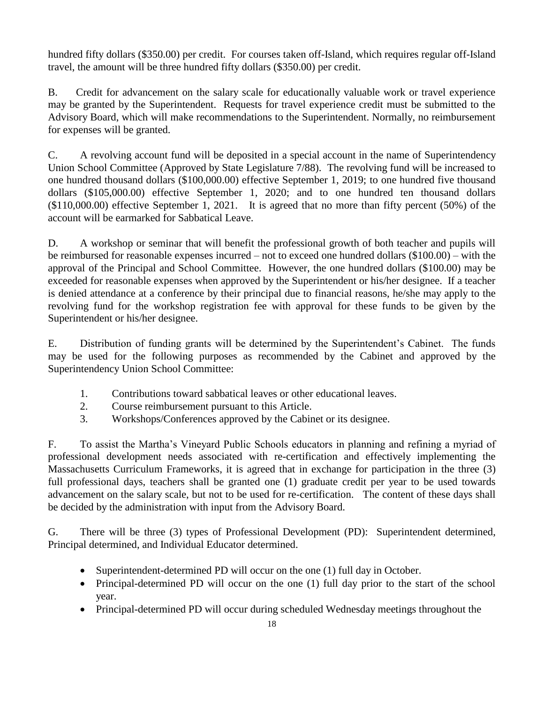hundred fifty dollars (\$350.00) per credit. For courses taken off-Island, which requires regular off-Island travel, the amount will be three hundred fifty dollars (\$350.00) per credit.

B. Credit for advancement on the salary scale for educationally valuable work or travel experience may be granted by the Superintendent. Requests for travel experience credit must be submitted to the Advisory Board, which will make recommendations to the Superintendent. Normally, no reimbursement for expenses will be granted.

C. A revolving account fund will be deposited in a special account in the name of Superintendency Union School Committee (Approved by State Legislature 7/88). The revolving fund will be increased to one hundred thousand dollars (\$100,000.00) effective September 1, 2019; to one hundred five thousand dollars (\$105,000.00) effective September 1, 2020; and to one hundred ten thousand dollars (\$110,000.00) effective September 1, 2021. It is agreed that no more than fifty percent (50%) of the account will be earmarked for Sabbatical Leave.

D. A workshop or seminar that will benefit the professional growth of both teacher and pupils will be reimbursed for reasonable expenses incurred – not to exceed one hundred dollars (\$100.00) – with the approval of the Principal and School Committee. However, the one hundred dollars (\$100.00) may be exceeded for reasonable expenses when approved by the Superintendent or his/her designee. If a teacher is denied attendance at a conference by their principal due to financial reasons, he/she may apply to the revolving fund for the workshop registration fee with approval for these funds to be given by the Superintendent or his/her designee.

E. Distribution of funding grants will be determined by the Superintendent's Cabinet. The funds may be used for the following purposes as recommended by the Cabinet and approved by the Superintendency Union School Committee:

- 1. Contributions toward sabbatical leaves or other educational leaves.
- 2. Course reimbursement pursuant to this Article.
- 3. Workshops/Conferences approved by the Cabinet or its designee.

F. To assist the Martha's Vineyard Public Schools educators in planning and refining a myriad of professional development needs associated with re-certification and effectively implementing the Massachusetts Curriculum Frameworks, it is agreed that in exchange for participation in the three (3) full professional days, teachers shall be granted one (1) graduate credit per year to be used towards advancement on the salary scale, but not to be used for re-certification. The content of these days shall be decided by the administration with input from the Advisory Board.

G. There will be three (3) types of Professional Development (PD): Superintendent determined, Principal determined, and Individual Educator determined.

- Superintendent-determined PD will occur on the one (1) full day in October.
- Principal-determined PD will occur on the one (1) full day prior to the start of the school year.
- Principal-determined PD will occur during scheduled Wednesday meetings throughout the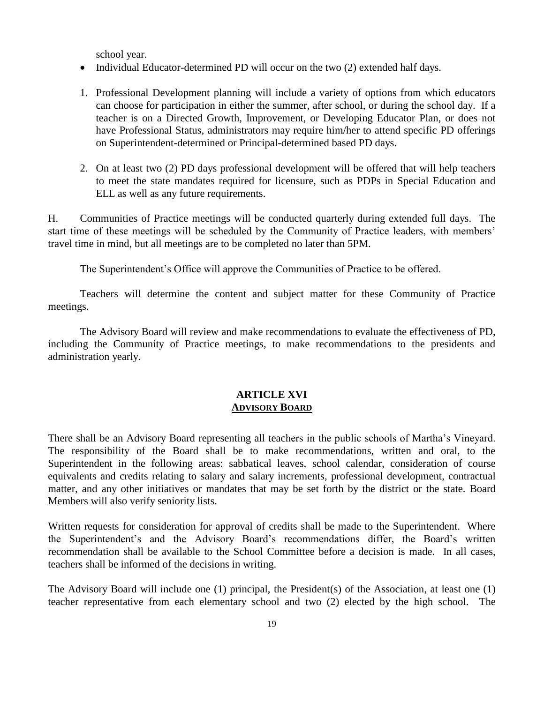school year.

- Individual Educator-determined PD will occur on the two (2) extended half days.
- 1. Professional Development planning will include a variety of options from which educators can choose for participation in either the summer, after school, or during the school day. If a teacher is on a Directed Growth, Improvement, or Developing Educator Plan, or does not have Professional Status, administrators may require him/her to attend specific PD offerings on Superintendent-determined or Principal-determined based PD days.
- 2. On at least two (2) PD days professional development will be offered that will help teachers to meet the state mandates required for licensure, such as PDPs in Special Education and ELL as well as any future requirements.

H. Communities of Practice meetings will be conducted quarterly during extended full days. The start time of these meetings will be scheduled by the Community of Practice leaders, with members' travel time in mind, but all meetings are to be completed no later than 5PM.

The Superintendent's Office will approve the Communities of Practice to be offered.

Teachers will determine the content and subject matter for these Community of Practice meetings.

The Advisory Board will review and make recommendations to evaluate the effectiveness of PD, including the Community of Practice meetings, to make recommendations to the presidents and administration yearly.

## **ARTICLE XVI ADVISORY BOARD**

There shall be an Advisory Board representing all teachers in the public schools of Martha's Vineyard. The responsibility of the Board shall be to make recommendations, written and oral, to the Superintendent in the following areas: sabbatical leaves, school calendar, consideration of course equivalents and credits relating to salary and salary increments, professional development, contractual matter, and any other initiatives or mandates that may be set forth by the district or the state. Board Members will also verify seniority lists.

Written requests for consideration for approval of credits shall be made to the Superintendent. Where the Superintendent's and the Advisory Board's recommendations differ, the Board's written recommendation shall be available to the School Committee before a decision is made. In all cases, teachers shall be informed of the decisions in writing.

The Advisory Board will include one (1) principal, the President(s) of the Association, at least one (1) teacher representative from each elementary school and two (2) elected by the high school. The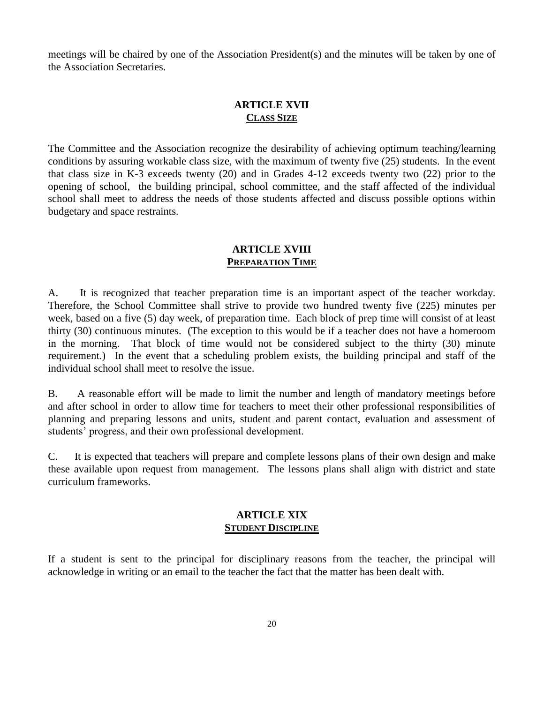meetings will be chaired by one of the Association President(s) and the minutes will be taken by one of the Association Secretaries.

# **ARTICLE XVII CLASS SIZE**

The Committee and the Association recognize the desirability of achieving optimum teaching/learning conditions by assuring workable class size, with the maximum of twenty five (25) students. In the event that class size in K-3 exceeds twenty (20) and in Grades 4-12 exceeds twenty two (22) prior to the opening of school, the building principal, school committee, and the staff affected of the individual school shall meet to address the needs of those students affected and discuss possible options within budgetary and space restraints.

# **ARTICLE XVIII PREPARATION TIME**

A. It is recognized that teacher preparation time is an important aspect of the teacher workday. Therefore, the School Committee shall strive to provide two hundred twenty five (225) minutes per week, based on a five (5) day week, of preparation time. Each block of prep time will consist of at least thirty (30) continuous minutes. (The exception to this would be if a teacher does not have a homeroom in the morning. That block of time would not be considered subject to the thirty (30) minute requirement.) In the event that a scheduling problem exists, the building principal and staff of the individual school shall meet to resolve the issue.

B. A reasonable effort will be made to limit the number and length of mandatory meetings before and after school in order to allow time for teachers to meet their other professional responsibilities of planning and preparing lessons and units, student and parent contact, evaluation and assessment of students' progress, and their own professional development.

C. It is expected that teachers will prepare and complete lessons plans of their own design and make these available upon request from management. The lessons plans shall align with district and state curriculum frameworks.

## **ARTICLE XIX STUDENT DISCIPLINE**

If a student is sent to the principal for disciplinary reasons from the teacher, the principal will acknowledge in writing or an email to the teacher the fact that the matter has been dealt with.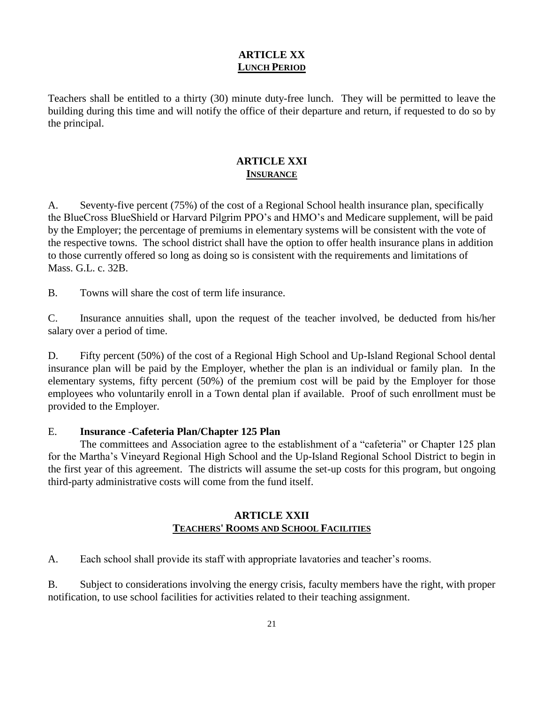# **ARTICLE XX LUNCH PERIOD**

Teachers shall be entitled to a thirty (30) minute duty-free lunch. They will be permitted to leave the building during this time and will notify the office of their departure and return, if requested to do so by the principal.

# **ARTICLE XXI INSURANCE**

A. Seventy-five percent (75%) of the cost of a Regional School health insurance plan, specifically the BlueCross BlueShield or Harvard Pilgrim PPO's and HMO's and Medicare supplement, will be paid by the Employer; the percentage of premiums in elementary systems will be consistent with the vote of the respective towns. The school district shall have the option to offer health insurance plans in addition to those currently offered so long as doing so is consistent with the requirements and limitations of Mass. G.L. c. 32B.

B. Towns will share the cost of term life insurance.

C. Insurance annuities shall, upon the request of the teacher involved, be deducted from his/her salary over a period of time.

D. Fifty percent (50%) of the cost of a Regional High School and Up-Island Regional School dental insurance plan will be paid by the Employer, whether the plan is an individual or family plan. In the elementary systems, fifty percent (50%) of the premium cost will be paid by the Employer for those employees who voluntarily enroll in a Town dental plan if available. Proof of such enrollment must be provided to the Employer.

## E. **Insurance** -**Cafeteria Plan/Chapter 125 Plan**

The committees and Association agree to the establishment of a "cafeteria" or Chapter 125 plan for the Martha's Vineyard Regional High School and the Up-Island Regional School District to begin in the first year of this agreement. The districts will assume the set-up costs for this program, but ongoing third-party administrative costs will come from the fund itself.

# **ARTICLE XXII TEACHERS' ROOMS AND SCHOOL FACILITIES**

A. Each school shall provide its staff with appropriate lavatories and teacher's rooms.

B. Subject to considerations involving the energy crisis, faculty members have the right, with proper notification, to use school facilities for activities related to their teaching assignment.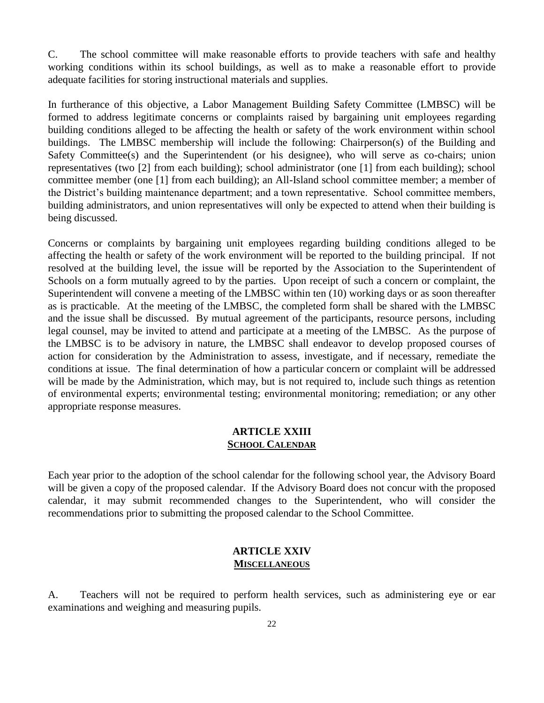C. The school committee will make reasonable efforts to provide teachers with safe and healthy working conditions within its school buildings, as well as to make a reasonable effort to provide adequate facilities for storing instructional materials and supplies.

In furtherance of this objective, a Labor Management Building Safety Committee (LMBSC) will be formed to address legitimate concerns or complaints raised by bargaining unit employees regarding building conditions alleged to be affecting the health or safety of the work environment within school buildings. The LMBSC membership will include the following: Chairperson(s) of the Building and Safety Committee(s) and the Superintendent (or his designee), who will serve as co-chairs; union representatives (two [2] from each building); school administrator (one [1] from each building); school committee member (one [1] from each building); an All-Island school committee member; a member of the District's building maintenance department; and a town representative. School committee members, building administrators, and union representatives will only be expected to attend when their building is being discussed.

Concerns or complaints by bargaining unit employees regarding building conditions alleged to be affecting the health or safety of the work environment will be reported to the building principal. If not resolved at the building level, the issue will be reported by the Association to the Superintendent of Schools on a form mutually agreed to by the parties. Upon receipt of such a concern or complaint, the Superintendent will convene a meeting of the LMBSC within ten (10) working days or as soon thereafter as is practicable. At the meeting of the LMBSC, the completed form shall be shared with the LMBSC and the issue shall be discussed. By mutual agreement of the participants, resource persons, including legal counsel, may be invited to attend and participate at a meeting of the LMBSC. As the purpose of the LMBSC is to be advisory in nature, the LMBSC shall endeavor to develop proposed courses of action for consideration by the Administration to assess, investigate, and if necessary, remediate the conditions at issue. The final determination of how a particular concern or complaint will be addressed will be made by the Administration, which may, but is not required to, include such things as retention of environmental experts; environmental testing; environmental monitoring; remediation; or any other appropriate response measures.

#### **ARTICLE XXIII SCHOOL CALENDAR**

Each year prior to the adoption of the school calendar for the following school year, the Advisory Board will be given a copy of the proposed calendar. If the Advisory Board does not concur with the proposed calendar, it may submit recommended changes to the Superintendent, who will consider the recommendations prior to submitting the proposed calendar to the School Committee.

## **ARTICLE XXIV MISCELLANEOUS**

A. Teachers will not be required to perform health services, such as administering eye or ear examinations and weighing and measuring pupils.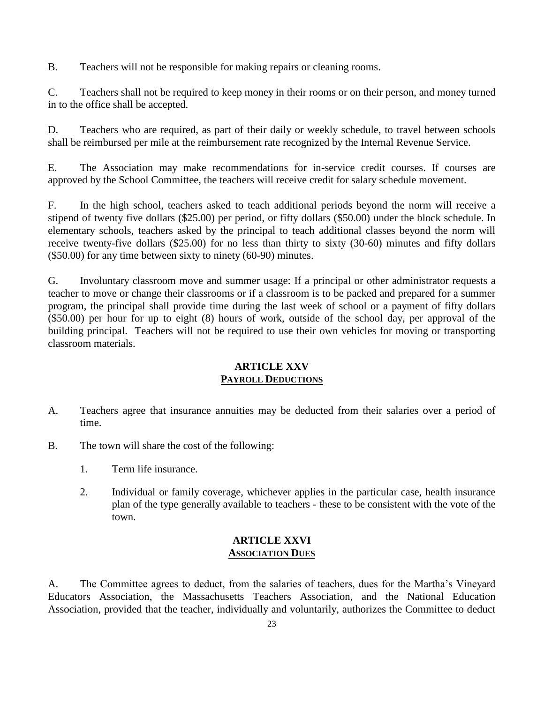B. Teachers will not be responsible for making repairs or cleaning rooms.

C. Teachers shall not be required to keep money in their rooms or on their person, and money turned in to the office shall be accepted.

D. Teachers who are required, as part of their daily or weekly schedule, to travel between schools shall be reimbursed per mile at the reimbursement rate recognized by the Internal Revenue Service.

E. The Association may make recommendations for in-service credit courses. If courses are approved by the School Committee, the teachers will receive credit for salary schedule movement.

F. In the high school, teachers asked to teach additional periods beyond the norm will receive a stipend of twenty five dollars (\$25.00) per period, or fifty dollars (\$50.00) under the block schedule. In elementary schools, teachers asked by the principal to teach additional classes beyond the norm will receive twenty-five dollars (\$25.00) for no less than thirty to sixty (30-60) minutes and fifty dollars (\$50.00) for any time between sixty to ninety (60-90) minutes.

G. Involuntary classroom move and summer usage: If a principal or other administrator requests a teacher to move or change their classrooms or if a classroom is to be packed and prepared for a summer program, the principal shall provide time during the last week of school or a payment of fifty dollars (\$50.00) per hour for up to eight (8) hours of work, outside of the school day, per approval of the building principal. Teachers will not be required to use their own vehicles for moving or transporting classroom materials.

#### **ARTICLE XXV PAYROLL DEDUCTIONS**

- A. Teachers agree that insurance annuities may be deducted from their salaries over a period of time.
- B. The town will share the cost of the following:
	- 1. Term life insurance.
	- 2. Individual or family coverage, whichever applies in the particular case, health insurance plan of the type generally available to teachers - these to be consistent with the vote of the town.

## **ARTICLE XXVI ASSOCIATION DUES**

A. The Committee agrees to deduct, from the salaries of teachers, dues for the Martha's Vineyard Educators Association, the Massachusetts Teachers Association, and the National Education Association, provided that the teacher, individually and voluntarily, authorizes the Committee to deduct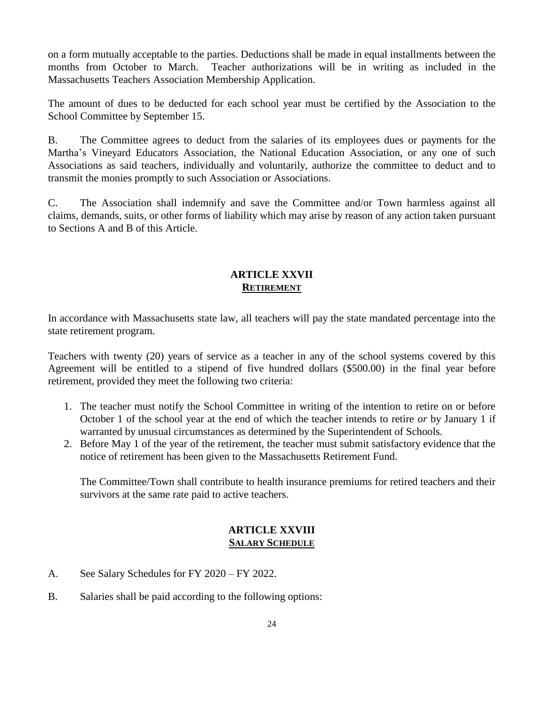on a form mutually acceptable to the parties. Deductions shall be made in equal installments between the months from October to March. Teacher authorizations will be in writing as included in the Massachusetts Teachers Association Membership Application.

The amount of dues to be deducted for each school year must be certified by the Association to the School Committee by September 15.

B. The Committee agrees to deduct from the salaries of its employees dues or payments for the Martha's Vineyard Educators Association, the National Education Association, or any one of such Associations as said teachers, individually and voluntarily, authorize the committee to deduct and to transmit the monies promptly to such Association or Associations.

C. The Association shall indemnify and save the Committee and/or Town harmless against all claims, demands, suits, or other forms of liability which may arise by reason of any action taken pursuant to Sections A and B of this Article.

# **ARTICLE XXVII RETIREMENT**

In accordance with Massachusetts state law, all teachers will pay the state mandated percentage into the state retirement program.

Teachers with twenty (20) years of service as a teacher in any of the school systems covered by this Agreement will be entitled to a stipend of five hundred dollars (\$500.00) in the final year before retirement, provided they meet the following two criteria:

- 1. The teacher must notify the School Committee in writing of the intention to retire on or before October 1 of the school year at the end of which the teacher intends to retire *or* by January 1 if warranted by unusual circumstances as determined by the Superintendent of Schools.
- 2. Before May 1 of the year of the retirement, the teacher must submit satisfactory evidence that the notice of retirement has been given to the Massachusetts Retirement Fund.

The Committee/Town shall contribute to health insurance premiums for retired teachers and their survivors at the same rate paid to active teachers.

# **ARTICLE XXVIII SALARY SCHEDULE**

- A. See Salary Schedules for FY 2020 FY 2022.
- B. Salaries shall be paid according to the following options: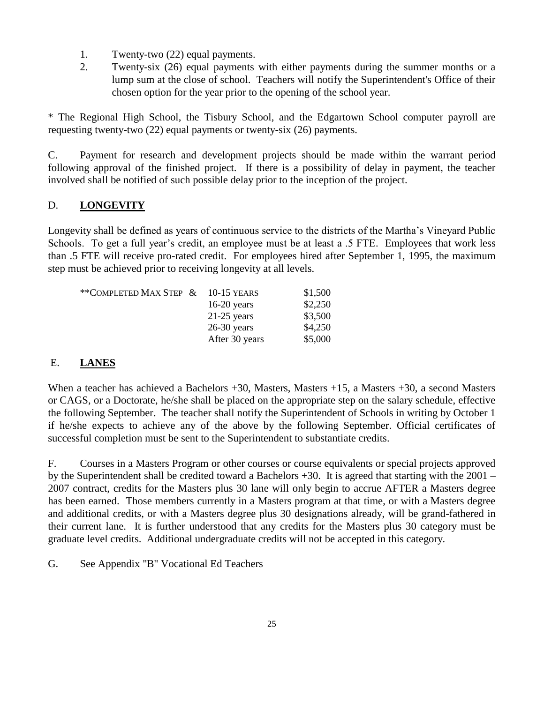- 1. Twenty-two (22) equal payments.
- 2. Twenty-six (26) equal payments with either payments during the summer months or a lump sum at the close of school. Teachers will notify the Superintendent's Office of their chosen option for the year prior to the opening of the school year.

\* The Regional High School, the Tisbury School, and the Edgartown School computer payroll are requesting twenty-two (22) equal payments or twenty-six (26) payments.

C. Payment for research and development projects should be made within the warrant period following approval of the finished project. If there is a possibility of delay in payment, the teacher involved shall be notified of such possible delay prior to the inception of the project.

# D. **LONGEVITY**

Longevity shall be defined as years of continuous service to the districts of the Martha's Vineyard Public Schools. To get a full year's credit, an employee must be at least a .5 FTE. Employees that work less than .5 FTE will receive pro-rated credit. For employees hired after September 1, 1995, the maximum step must be achieved prior to receiving longevity at all levels.

| **COMPLETED MAX STEP $\&$ | $10-15$ YEARS  | \$1,500 |
|---------------------------|----------------|---------|
|                           | $16-20$ years  | \$2,250 |
|                           | $21-25$ years  | \$3,500 |
|                           | $26-30$ years  | \$4,250 |
|                           | After 30 years | \$5,000 |

# E. **LANES**

When a teacher has achieved a Bachelors +30, Masters, Masters +15, a Masters +30, a second Masters or CAGS, or a Doctorate, he/she shall be placed on the appropriate step on the salary schedule, effective the following September. The teacher shall notify the Superintendent of Schools in writing by October 1 if he/she expects to achieve any of the above by the following September. Official certificates of successful completion must be sent to the Superintendent to substantiate credits.

F. Courses in a Masters Program or other courses or course equivalents or special projects approved by the Superintendent shall be credited toward a Bachelors +30. It is agreed that starting with the 2001 – 2007 contract, credits for the Masters plus 30 lane will only begin to accrue AFTER a Masters degree has been earned. Those members currently in a Masters program at that time, or with a Masters degree and additional credits, or with a Masters degree plus 30 designations already, will be grand-fathered in their current lane. It is further understood that any credits for the Masters plus 30 category must be graduate level credits. Additional undergraduate credits will not be accepted in this category.

G. See Appendix "B" Vocational Ed Teachers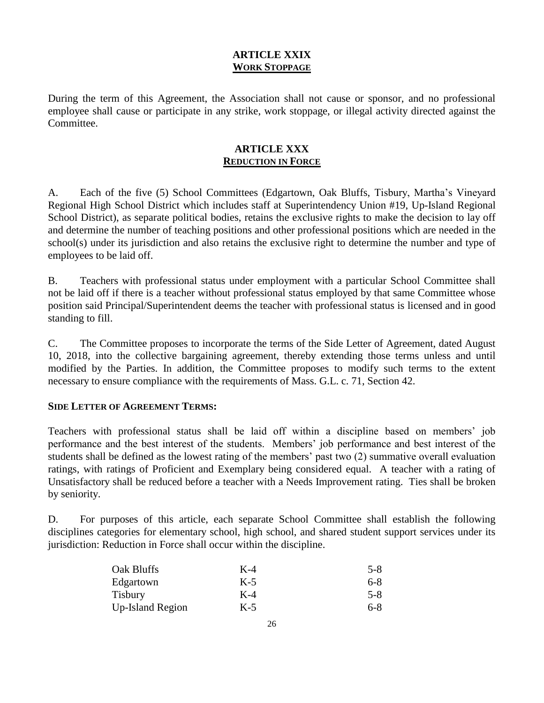# **ARTICLE XXIX WORK STOPPAGE**

During the term of this Agreement, the Association shall not cause or sponsor, and no professional employee shall cause or participate in any strike, work stoppage, or illegal activity directed against the Committee.

# **ARTICLE XXX REDUCTION IN FORCE**

A. Each of the five (5) School Committees (Edgartown, Oak Bluffs, Tisbury, Martha's Vineyard Regional High School District which includes staff at Superintendency Union #19, Up-Island Regional School District), as separate political bodies, retains the exclusive rights to make the decision to lay off and determine the number of teaching positions and other professional positions which are needed in the school(s) under its jurisdiction and also retains the exclusive right to determine the number and type of employees to be laid off.

B. Teachers with professional status under employment with a particular School Committee shall not be laid off if there is a teacher without professional status employed by that same Committee whose position said Principal/Superintendent deems the teacher with professional status is licensed and in good standing to fill.

C. The Committee proposes to incorporate the terms of the Side Letter of Agreement, dated August 10, 2018, into the collective bargaining agreement, thereby extending those terms unless and until modified by the Parties. In addition, the Committee proposes to modify such terms to the extent necessary to ensure compliance with the requirements of Mass. G.L. c. 71, Section 42.

## **SIDE LETTER OF AGREEMENT TERMS:**

Teachers with professional status shall be laid off within a discipline based on members' job performance and the best interest of the students. Members' job performance and best interest of the students shall be defined as the lowest rating of the members' past two (2) summative overall evaluation ratings, with ratings of Proficient and Exemplary being considered equal. A teacher with a rating of Unsatisfactory shall be reduced before a teacher with a Needs Improvement rating. Ties shall be broken by seniority.

D. For purposes of this article, each separate School Committee shall establish the following disciplines categories for elementary school, high school, and shared student support services under its jurisdiction: Reduction in Force shall occur within the discipline.

| Oak Bluffs              | $K-4$ | $5-8$   |
|-------------------------|-------|---------|
| Edgartown               | $K-5$ | $6-8$   |
| <b>Tisbury</b>          | $K-4$ | $5 - 8$ |
| <b>Up-Island Region</b> | $K-5$ | $6-8$   |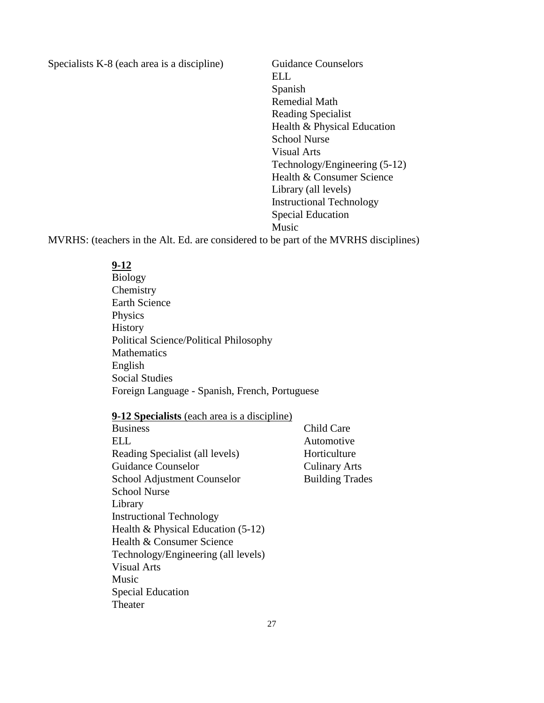Specialists K-8 (each area is a discipline) Guidance Counselors

ELL Spanish Remedial Math Reading Specialist Health & Physical Education School Nurse Visual Arts Technology/Engineering (5-12) Health & Consumer Science Library (all levels) Instructional Technology Special Education Music

MVRHS: (teachers in the Alt. Ed. are considered to be part of the MVRHS disciplines)

## **9-12**

Biology **Chemistry** Earth Science Physics History Political Science/Political Philosophy Mathematics English Social Studies Foreign Language - Spanish, French, Portuguese

#### **9-12 Specialists** (each area is a discipline)

| <b>Business</b>                      | Child Care             |
|--------------------------------------|------------------------|
| ELL                                  | Automotive             |
| Reading Specialist (all levels)      | Horticulture           |
| Guidance Counselor                   | <b>Culinary Arts</b>   |
| School Adjustment Counselor          | <b>Building Trades</b> |
| <b>School Nurse</b>                  |                        |
| Library                              |                        |
| <b>Instructional Technology</b>      |                        |
| Health & Physical Education $(5-12)$ |                        |
| Health & Consumer Science            |                        |
| Technology/Engineering (all levels)  |                        |
| <b>Visual Arts</b>                   |                        |
| Music                                |                        |
| <b>Special Education</b>             |                        |
| Theater                              |                        |
|                                      |                        |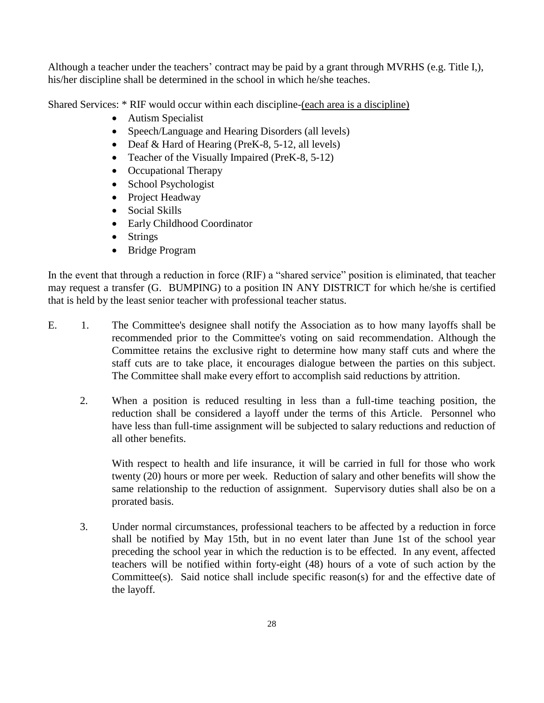Although a teacher under the teachers' contract may be paid by a grant through MVRHS (e.g. Title I,), his/her discipline shall be determined in the school in which he/she teaches.

Shared Services: \* RIF would occur within each discipline-(each area is a discipline)

- Autism Specialist
- Speech/Language and Hearing Disorders (all levels)
- Deaf & Hard of Hearing (PreK-8, 5-12, all levels)
- Teacher of the Visually Impaired (PreK-8, 5-12)
- Occupational Therapy
- School Psychologist
- Project Headway
- Social Skills
- Early Childhood Coordinator
- Strings
- Bridge Program

In the event that through a reduction in force (RIF) a "shared service" position is eliminated, that teacher may request a transfer (G. BUMPING) to a position IN ANY DISTRICT for which he/she is certified that is held by the least senior teacher with professional teacher status.

- E. 1. The Committee's designee shall notify the Association as to how many layoffs shall be recommended prior to the Committee's voting on said recommendation. Although the Committee retains the exclusive right to determine how many staff cuts and where the staff cuts are to take place, it encourages dialogue between the parties on this subject. The Committee shall make every effort to accomplish said reductions by attrition.
	- 2. When a position is reduced resulting in less than a full-time teaching position, the reduction shall be considered a layoff under the terms of this Article. Personnel who have less than full-time assignment will be subjected to salary reductions and reduction of all other benefits.

With respect to health and life insurance, it will be carried in full for those who work twenty (20) hours or more per week. Reduction of salary and other benefits will show the same relationship to the reduction of assignment. Supervisory duties shall also be on a prorated basis.

3. Under normal circumstances, professional teachers to be affected by a reduction in force shall be notified by May 15th, but in no event later than June 1st of the school year preceding the school year in which the reduction is to be effected. In any event, affected teachers will be notified within forty-eight (48) hours of a vote of such action by the Committee(s). Said notice shall include specific reason(s) for and the effective date of the layoff.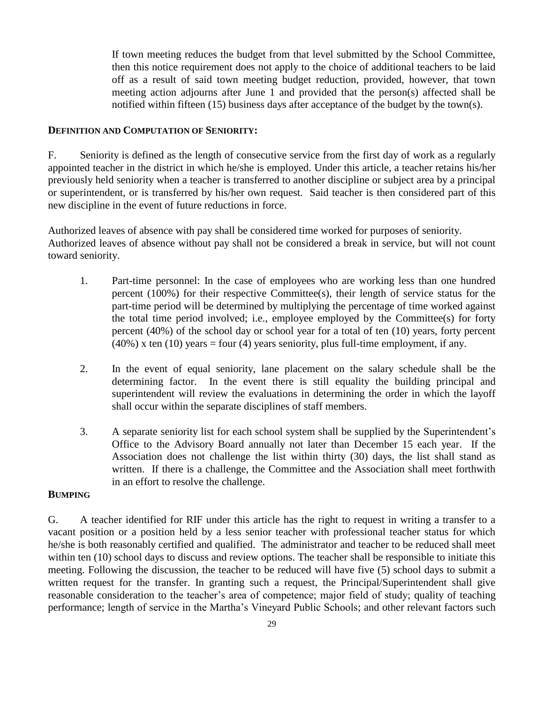If town meeting reduces the budget from that level submitted by the School Committee, then this notice requirement does not apply to the choice of additional teachers to be laid off as a result of said town meeting budget reduction, provided, however, that town meeting action adjourns after June 1 and provided that the person(s) affected shall be notified within fifteen (15) business days after acceptance of the budget by the town(s).

#### **DEFINITION AND COMPUTATION OF SENIORITY:**

F. Seniority is defined as the length of consecutive service from the first day of work as a regularly appointed teacher in the district in which he/she is employed. Under this article, a teacher retains his/her previously held seniority when a teacher is transferred to another discipline or subject area by a principal or superintendent, or is transferred by his/her own request. Said teacher is then considered part of this new discipline in the event of future reductions in force.

Authorized leaves of absence with pay shall be considered time worked for purposes of seniority. Authorized leaves of absence without pay shall not be considered a break in service, but will not count toward seniority.

- 1. Part-time personnel: In the case of employees who are working less than one hundred percent (100%) for their respective Committee(s), their length of service status for the part-time period will be determined by multiplying the percentage of time worked against the total time period involved; i.e., employee employed by the Committee(s) for forty percent (40%) of the school day or school year for a total of ten (10) years, forty percent  $(40%)$  x ten  $(10)$  years = four  $(4)$  years seniority, plus full-time employment, if any.
- 2. In the event of equal seniority, lane placement on the salary schedule shall be the determining factor. In the event there is still equality the building principal and superintendent will review the evaluations in determining the order in which the layoff shall occur within the separate disciplines of staff members.
- 3. A separate seniority list for each school system shall be supplied by the Superintendent's Office to the Advisory Board annually not later than December 15 each year. If the Association does not challenge the list within thirty (30) days, the list shall stand as written. If there is a challenge, the Committee and the Association shall meet forthwith in an effort to resolve the challenge.

#### **BUMPING**

G. A teacher identified for RIF under this article has the right to request in writing a transfer to a vacant position or a position held by a less senior teacher with professional teacher status for which he/she is both reasonably certified and qualified. The administrator and teacher to be reduced shall meet within ten (10) school days to discuss and review options. The teacher shall be responsible to initiate this meeting. Following the discussion, the teacher to be reduced will have five (5) school days to submit a written request for the transfer. In granting such a request, the Principal/Superintendent shall give reasonable consideration to the teacher's area of competence; major field of study; quality of teaching performance; length of service in the Martha's Vineyard Public Schools; and other relevant factors such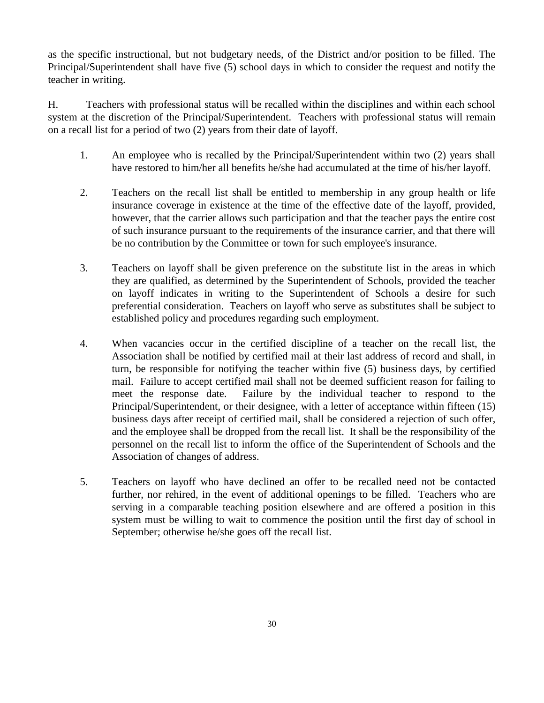as the specific instructional, but not budgetary needs, of the District and/or position to be filled. The Principal/Superintendent shall have five (5) school days in which to consider the request and notify the teacher in writing.

H. Teachers with professional status will be recalled within the disciplines and within each school system at the discretion of the Principal/Superintendent. Teachers with professional status will remain on a recall list for a period of two (2) years from their date of layoff.

- 1. An employee who is recalled by the Principal/Superintendent within two (2) years shall have restored to him/her all benefits he/she had accumulated at the time of his/her layoff.
- 2. Teachers on the recall list shall be entitled to membership in any group health or life insurance coverage in existence at the time of the effective date of the layoff, provided, however, that the carrier allows such participation and that the teacher pays the entire cost of such insurance pursuant to the requirements of the insurance carrier, and that there will be no contribution by the Committee or town for such employee's insurance.
- 3. Teachers on layoff shall be given preference on the substitute list in the areas in which they are qualified, as determined by the Superintendent of Schools, provided the teacher on layoff indicates in writing to the Superintendent of Schools a desire for such preferential consideration. Teachers on layoff who serve as substitutes shall be subject to established policy and procedures regarding such employment.
- 4. When vacancies occur in the certified discipline of a teacher on the recall list, the Association shall be notified by certified mail at their last address of record and shall, in turn, be responsible for notifying the teacher within five (5) business days, by certified mail. Failure to accept certified mail shall not be deemed sufficient reason for failing to meet the response date. Failure by the individual teacher to respond to the Principal/Superintendent, or their designee, with a letter of acceptance within fifteen (15) business days after receipt of certified mail, shall be considered a rejection of such offer, and the employee shall be dropped from the recall list. It shall be the responsibility of the personnel on the recall list to inform the office of the Superintendent of Schools and the Association of changes of address.
- 5. Teachers on layoff who have declined an offer to be recalled need not be contacted further, nor rehired, in the event of additional openings to be filled. Teachers who are serving in a comparable teaching position elsewhere and are offered a position in this system must be willing to wait to commence the position until the first day of school in September; otherwise he/she goes off the recall list.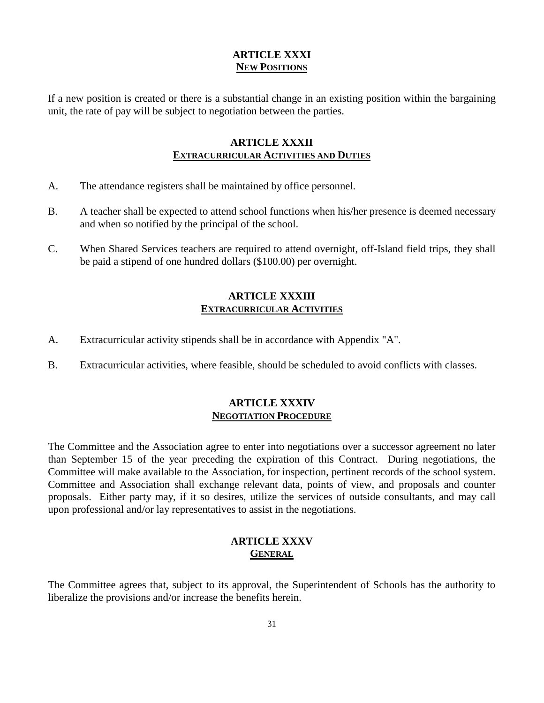# **ARTICLE XXXI NEW POSITIONS**

If a new position is created or there is a substantial change in an existing position within the bargaining unit, the rate of pay will be subject to negotiation between the parties.

# **ARTICLE XXXII EXTRACURRICULAR ACTIVITIES AND DUTIES**

- A. The attendance registers shall be maintained by office personnel.
- B. A teacher shall be expected to attend school functions when his/her presence is deemed necessary and when so notified by the principal of the school.
- C. When Shared Services teachers are required to attend overnight, off-Island field trips, they shall be paid a stipend of one hundred dollars (\$100.00) per overnight.

# **ARTICLE XXXIII EXTRACURRICULAR ACTIVITIES**

- A. Extracurricular activity stipends shall be in accordance with Appendix "A".
- B. Extracurricular activities, where feasible, should be scheduled to avoid conflicts with classes.

### **ARTICLE XXXIV NEGOTIATION PROCEDURE**

The Committee and the Association agree to enter into negotiations over a successor agreement no later than September 15 of the year preceding the expiration of this Contract. During negotiations, the Committee will make available to the Association, for inspection, pertinent records of the school system. Committee and Association shall exchange relevant data, points of view, and proposals and counter proposals. Either party may, if it so desires, utilize the services of outside consultants, and may call upon professional and/or lay representatives to assist in the negotiations.

# **ARTICLE XXXV GENERAL**

The Committee agrees that, subject to its approval, the Superintendent of Schools has the authority to liberalize the provisions and/or increase the benefits herein.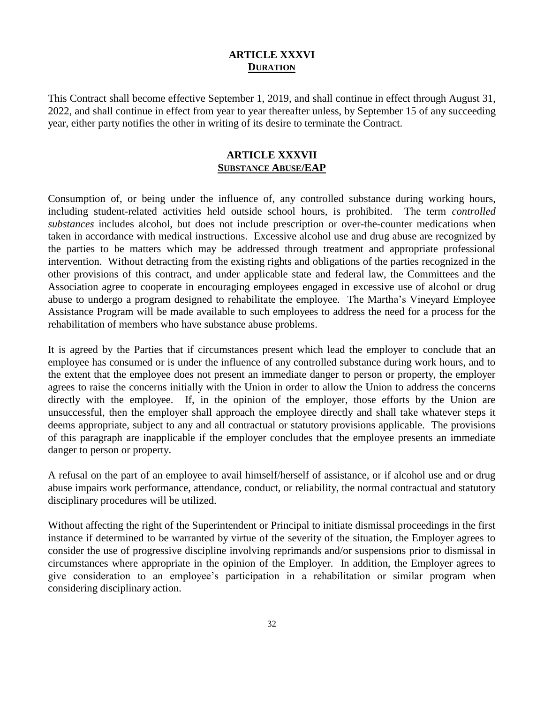# **ARTICLE XXXVI DURATION**

This Contract shall become effective September 1, 2019, and shall continue in effect through August 31, 2022, and shall continue in effect from year to year thereafter unless, by September 15 of any succeeding year, either party notifies the other in writing of its desire to terminate the Contract.

# **ARTICLE XXXVII SUBSTANCE ABUSE/EAP**

Consumption of, or being under the influence of, any controlled substance during working hours, including student-related activities held outside school hours, is prohibited. The term *controlled substances* includes alcohol, but does not include prescription or over-the-counter medications when taken in accordance with medical instructions. Excessive alcohol use and drug abuse are recognized by the parties to be matters which may be addressed through treatment and appropriate professional intervention. Without detracting from the existing rights and obligations of the parties recognized in the other provisions of this contract, and under applicable state and federal law, the Committees and the Association agree to cooperate in encouraging employees engaged in excessive use of alcohol or drug abuse to undergo a program designed to rehabilitate the employee. The Martha's Vineyard Employee Assistance Program will be made available to such employees to address the need for a process for the rehabilitation of members who have substance abuse problems.

It is agreed by the Parties that if circumstances present which lead the employer to conclude that an employee has consumed or is under the influence of any controlled substance during work hours, and to the extent that the employee does not present an immediate danger to person or property, the employer agrees to raise the concerns initially with the Union in order to allow the Union to address the concerns directly with the employee. If, in the opinion of the employer, those efforts by the Union are unsuccessful, then the employer shall approach the employee directly and shall take whatever steps it deems appropriate, subject to any and all contractual or statutory provisions applicable. The provisions of this paragraph are inapplicable if the employer concludes that the employee presents an immediate danger to person or property.

A refusal on the part of an employee to avail himself/herself of assistance, or if alcohol use and or drug abuse impairs work performance, attendance, conduct, or reliability, the normal contractual and statutory disciplinary procedures will be utilized.

Without affecting the right of the Superintendent or Principal to initiate dismissal proceedings in the first instance if determined to be warranted by virtue of the severity of the situation, the Employer agrees to consider the use of progressive discipline involving reprimands and/or suspensions prior to dismissal in circumstances where appropriate in the opinion of the Employer. In addition, the Employer agrees to give consideration to an employee's participation in a rehabilitation or similar program when considering disciplinary action.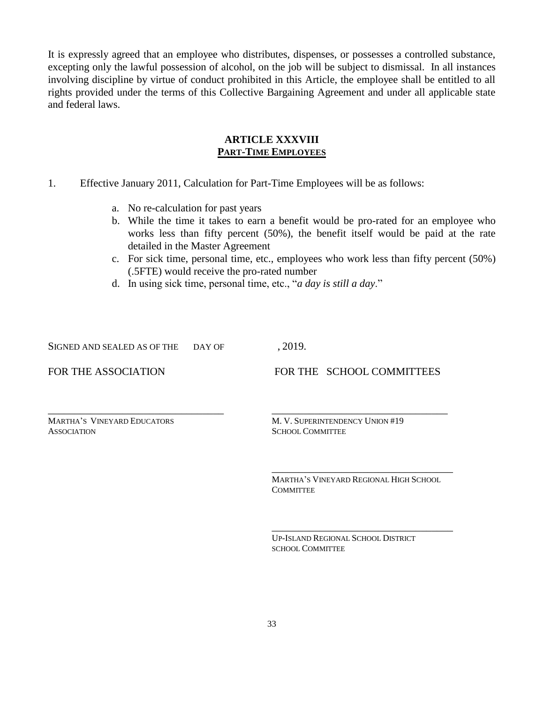It is expressly agreed that an employee who distributes, dispenses, or possesses a controlled substance, excepting only the lawful possession of alcohol, on the job will be subject to dismissal. In all instances involving discipline by virtue of conduct prohibited in this Article, the employee shall be entitled to all rights provided under the terms of this Collective Bargaining Agreement and under all applicable state and federal laws.

#### **ARTICLE XXXVIII PART-TIME EMPLOYEES**

- 1. Effective January 2011, Calculation for Part-Time Employees will be as follows:
	- a. No re-calculation for past years
	- b. While the time it takes to earn a benefit would be pro-rated for an employee who works less than fifty percent (50%), the benefit itself would be paid at the rate detailed in the Master Agreement
	- c. For sick time, personal time, etc., employees who work less than fifty percent (50%) (.5FTE) would receive the pro-rated number
	- d. In using sick time, personal time, etc., "*a day is still a day*."

\_\_\_\_\_\_\_\_\_\_\_\_\_\_\_\_\_\_\_\_\_\_\_\_\_\_\_\_\_\_\_\_\_ \_\_\_\_\_\_\_\_\_\_\_\_\_\_\_\_\_\_\_\_\_\_\_\_\_\_\_\_\_\_\_\_\_

SIGNED AND SEALED AS OF THE DAY OF , 2019.

FOR THE ASSOCIATION FOR THE SCHOOL COMMITTEES

ASSOCIATION SCHOOL COMMITTEE

MARTHA'S VINEYARD EDUCATORS M. V. SUPERINTENDENCY UNION #19

MARTHA'S VINEYARD REGIONAL HIGH SCHOOL **COMMITTEE** 

\_\_\_\_\_\_\_\_\_\_\_\_\_\_\_\_\_\_\_\_\_\_\_\_\_\_\_\_\_\_\_\_\_\_

\_\_\_\_\_\_\_\_\_\_\_\_\_\_\_\_\_\_\_\_\_\_\_\_\_\_\_\_\_\_\_\_\_\_

UP-ISLAND REGIONAL SCHOOL DISTRICT SCHOOL COMMITTEE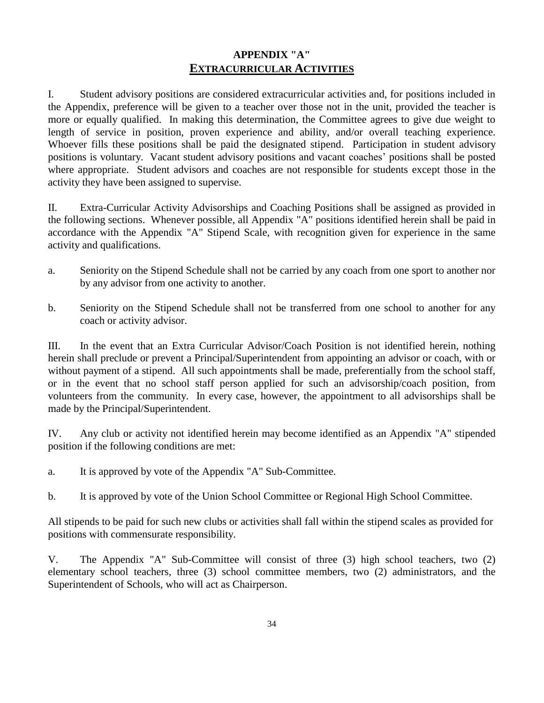# **APPENDIX "A" EXTRACURRICULAR ACTIVITIES**

I. Student advisory positions are considered extracurricular activities and, for positions included in the Appendix, preference will be given to a teacher over those not in the unit, provided the teacher is more or equally qualified. In making this determination, the Committee agrees to give due weight to length of service in position, proven experience and ability, and/or overall teaching experience. Whoever fills these positions shall be paid the designated stipend. Participation in student advisory positions is voluntary. Vacant student advisory positions and vacant coaches' positions shall be posted where appropriate. Student advisors and coaches are not responsible for students except those in the activity they have been assigned to supervise.

II. Extra-Curricular Activity Advisorships and Coaching Positions shall be assigned as provided in the following sections. Whenever possible, all Appendix "A" positions identified herein shall be paid in accordance with the Appendix "A" Stipend Scale, with recognition given for experience in the same activity and qualifications.

- a. Seniority on the Stipend Schedule shall not be carried by any coach from one sport to another nor by any advisor from one activity to another.
- b. Seniority on the Stipend Schedule shall not be transferred from one school to another for any coach or activity advisor.

III. In the event that an Extra Curricular Advisor/Coach Position is not identified herein, nothing herein shall preclude or prevent a Principal/Superintendent from appointing an advisor or coach, with or without payment of a stipend. All such appointments shall be made, preferentially from the school staff, or in the event that no school staff person applied for such an advisorship/coach position, from volunteers from the community. In every case, however, the appointment to all advisorships shall be made by the Principal/Superintendent.

IV. Any club or activity not identified herein may become identified as an Appendix "A" stipended position if the following conditions are met:

a. It is approved by vote of the Appendix "A" Sub-Committee.

b. It is approved by vote of the Union School Committee or Regional High School Committee.

All stipends to be paid for such new clubs or activities shall fall within the stipend scales as provided for positions with commensurate responsibility.

V. The Appendix "A" Sub-Committee will consist of three (3) high school teachers, two (2) elementary school teachers, three (3) school committee members, two (2) administrators, and the Superintendent of Schools, who will act as Chairperson.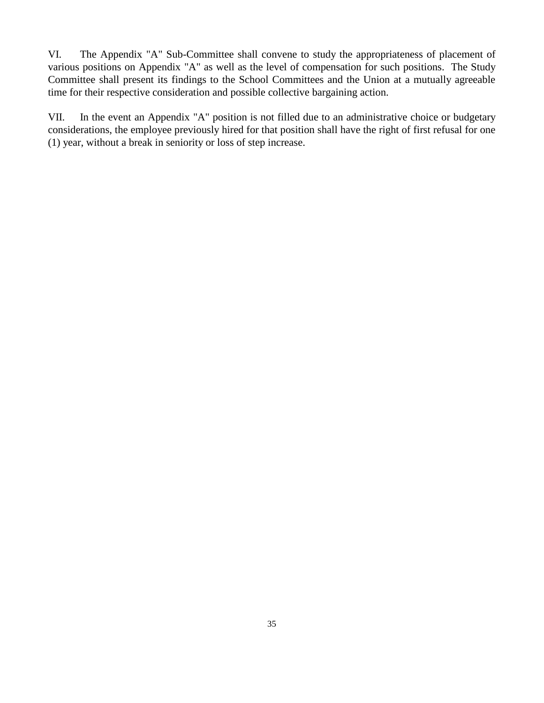VI. The Appendix "A" Sub-Committee shall convene to study the appropriateness of placement of various positions on Appendix "A" as well as the level of compensation for such positions. The Study Committee shall present its findings to the School Committees and the Union at a mutually agreeable time for their respective consideration and possible collective bargaining action.

VII. In the event an Appendix "A" position is not filled due to an administrative choice or budgetary considerations, the employee previously hired for that position shall have the right of first refusal for one (1) year, without a break in seniority or loss of step increase.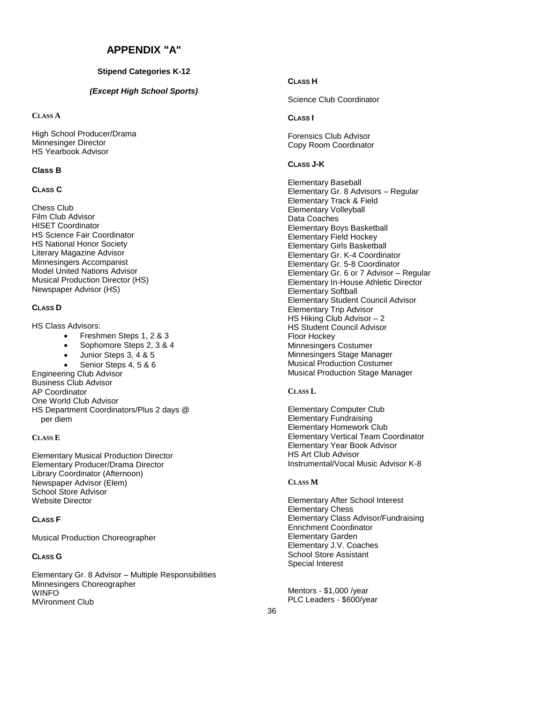#### **APPENDIX "A"**

#### **Stipend Categories K-12**

#### *(Except High School Sports)*

**CLASS A**

High School Producer/Drama Minnesinger Director HS Yearbook Advisor

#### **Class B**

#### **CLASS C**

Chess Club Film Club Advisor HISET Coordinator HS Science Fair Coordinator HS National Honor Society Literary Magazine Advisor Minnesingers Accompanist Model United Nations Advisor Musical Production Director (HS) Newspaper Advisor (HS)

#### **CLASS D**

HS Class Advisors:

- Freshmen Steps 1, 2 & 3
- Sophomore Steps 2, 3 & 4
- Junior Steps 3, 4 & 5
- Senior Steps 4, 5 & 6

Engineering Club Advisor Business Club Advisor AP Coordinator One World Club Advisor HS Department Coordinators/Plus 2 days @ per diem

#### **CLASS E**

Elementary Musical Production Director Elementary Producer/Drama Director Library Coordinator (Afternoon) Newspaper Advisor (Elem) School Store Advisor Website Director

#### **CLASS F**

Musical Production Choreographer

#### **CLASS G**

Elementary Gr. 8 Advisor – Multiple Responsibilities Minnesingers Choreographer **WINFO** MVironment Club

#### **CLASS H**

Science Club Coordinator

#### **CLASS I**

Forensics Club Advisor Copy Room Coordinator

#### **CLASS J-K**

Elementary Baseball Elementary Gr. 8 Advisors – Regular Elementary Track & Field Elementary Volleyball Data Coaches Elementary Boys Basketball Elementary Field Hockey Elementary Girls Basketball Elementary Gr. K-4 Coordinator Elementary Gr. 5-8 Coordinator Elementary Gr. 6 or 7 Advisor – Regular Elementary In-House Athletic Director Elementary Softball Elementary Student Council Advisor Elementary Trip Advisor HS Hiking Club Advisor – 2 HS Student Council Advisor Floor Hockey Minnesingers Costumer Minnesingers Stage Manager Musical Production Costumer Musical Production Stage Manager

#### **CLASS L**

Elementary Computer Club Elementary Fundraising Elementary Homework Club Elementary Vertical Team Coordinator Elementary Year Book Advisor HS Art Club Advisor Instrumental/Vocal Music Advisor K-8

#### **CLASS M**

Elementary After School Interest Elementary Chess Elementary Class Advisor/Fundraising Enrichment Coordinator Elementary Garden Elementary J.V. Coaches School Store Assistant Special Interest

Mentors - \$1,000 /year PLC Leaders - \$600/year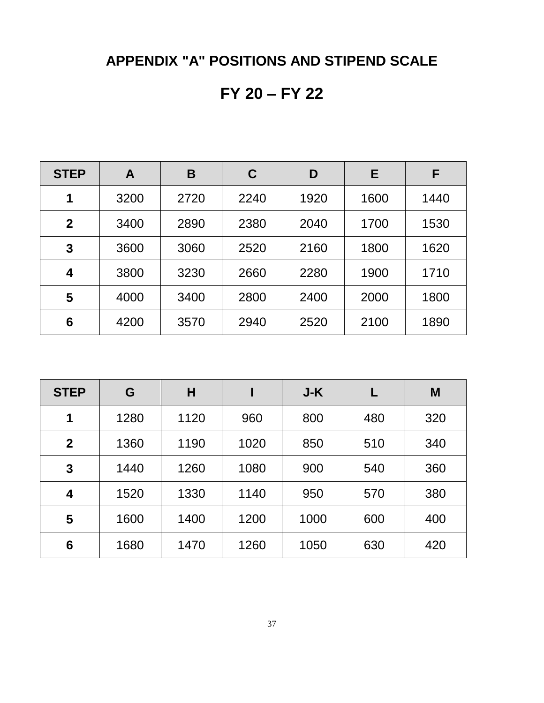# **APPENDIX "A" POSITIONS AND STIPEND SCALE**

# **FY 20 – FY 22**

| <b>STEP</b>             | A    | B    | C    | D    | Е    | F    |
|-------------------------|------|------|------|------|------|------|
| 1                       | 3200 | 2720 | 2240 | 1920 | 1600 | 1440 |
| $\mathbf 2$             | 3400 | 2890 | 2380 | 2040 | 1700 | 1530 |
| 3                       | 3600 | 3060 | 2520 | 2160 | 1800 | 1620 |
| $\overline{\mathbf{4}}$ | 3800 | 3230 | 2660 | 2280 | 1900 | 1710 |
| 5                       | 4000 | 3400 | 2800 | 2400 | 2000 | 1800 |
| 6                       | 4200 | 3570 | 2940 | 2520 | 2100 | 1890 |

| <b>STEP</b>    | G    | Н    |      | J-K  |     | M   |
|----------------|------|------|------|------|-----|-----|
| 1              | 1280 | 1120 | 960  | 800  | 480 | 320 |
| $\overline{2}$ | 1360 | 1190 | 1020 | 850  | 510 | 340 |
| 3              | 1440 | 1260 | 1080 | 900  | 540 | 360 |
| 4              | 1520 | 1330 | 1140 | 950  | 570 | 380 |
| 5              | 1600 | 1400 | 1200 | 1000 | 600 | 400 |
| 6              | 1680 | 1470 | 1260 | 1050 | 630 | 420 |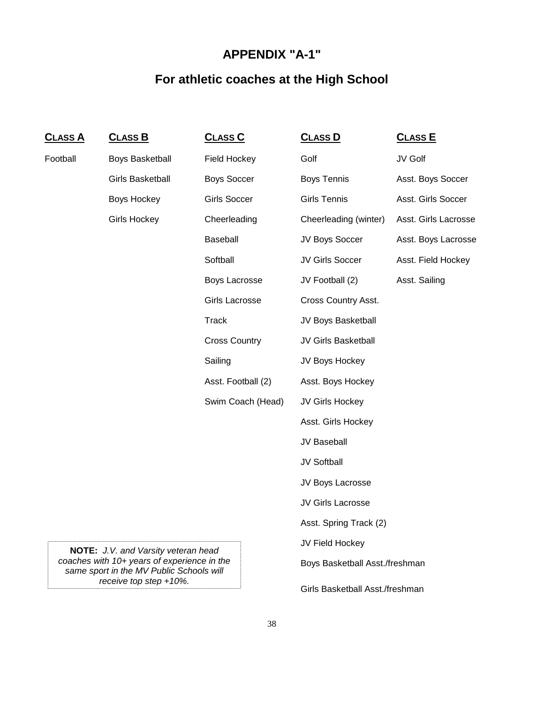# **APPENDIX "A-1"**

# **For athletic coaches at the High School**

| <u>CLASS A</u> | <u>CLASS B</u>                                                                          | <u>CLASS C</u>       | <b>CLASS D</b>                  | <u>CLASS E</u>       |
|----------------|-----------------------------------------------------------------------------------------|----------------------|---------------------------------|----------------------|
| Football       | <b>Boys Basketball</b>                                                                  | <b>Field Hockey</b>  | Golf                            | JV Golf              |
|                | <b>Girls Basketball</b>                                                                 | <b>Boys Soccer</b>   | <b>Boys Tennis</b>              | Asst. Boys Soccer    |
|                | Boys Hockey                                                                             | <b>Girls Soccer</b>  | <b>Girls Tennis</b>             | Asst. Girls Soccer   |
|                | <b>Girls Hockey</b>                                                                     | Cheerleading         | Cheerleading (winter)           | Asst. Girls Lacrosse |
|                |                                                                                         | Baseball             | JV Boys Soccer                  | Asst. Boys Lacrosse  |
|                |                                                                                         | Softball             | JV Girls Soccer                 | Asst. Field Hockey   |
|                |                                                                                         | Boys Lacrosse        | JV Football (2)                 | Asst. Sailing        |
|                |                                                                                         | Girls Lacrosse       | Cross Country Asst.             |                      |
|                |                                                                                         | <b>Track</b>         | JV Boys Basketball              |                      |
|                |                                                                                         | <b>Cross Country</b> | JV Girls Basketball             |                      |
|                |                                                                                         | Sailing              | JV Boys Hockey                  |                      |
|                |                                                                                         | Asst. Football (2)   | Asst. Boys Hockey               |                      |
|                |                                                                                         | Swim Coach (Head)    | JV Girls Hockey                 |                      |
|                |                                                                                         |                      | Asst. Girls Hockey              |                      |
|                |                                                                                         |                      | JV Baseball                     |                      |
|                |                                                                                         |                      | JV Softball                     |                      |
|                |                                                                                         |                      | JV Boys Lacrosse                |                      |
|                |                                                                                         |                      | JV Girls Lacrosse               |                      |
|                |                                                                                         |                      | Asst. Spring Track (2)          |                      |
|                | <b>NOTE:</b> J.V. and Varsity veteran head                                              |                      | JV Field Hockey                 |                      |
|                | coaches with 10+ years of experience in the<br>same sport in the MV Public Schools will |                      | Boys Basketball Asst./freshman  |                      |
|                | receive top step $+10\%$ .                                                              |                      | Girls Basketball Asst./freshman |                      |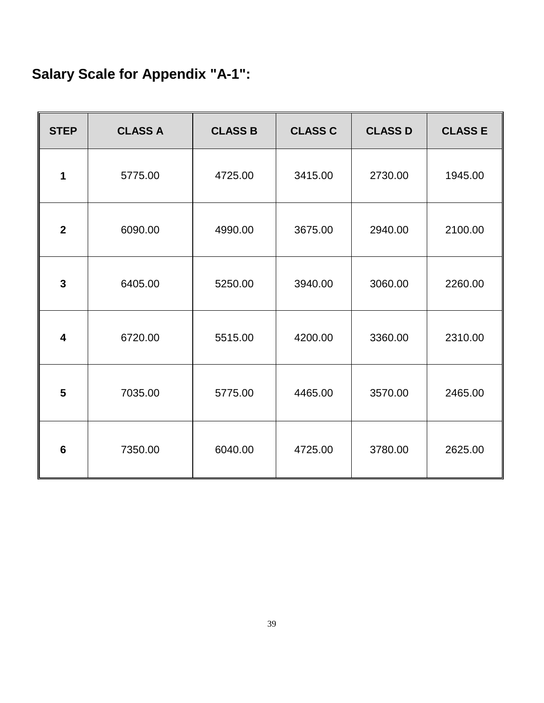# **Salary Scale for Appendix "A-1":**

| <b>STEP</b>             | <b>CLASS A</b> | <b>CLASS B</b> | <b>CLASS C</b> | <b>CLASS D</b> | <b>CLASS E</b> |
|-------------------------|----------------|----------------|----------------|----------------|----------------|
| 1                       | 5775.00        | 4725.00        | 3415.00        | 2730.00        | 1945.00        |
| $\boldsymbol{2}$        | 6090.00        | 4990.00        | 3675.00        | 2940.00        | 2100.00        |
| $\mathbf{3}$            | 6405.00        | 5250.00        | 3940.00        | 3060.00        | 2260.00        |
| $\overline{\mathbf{4}}$ | 6720.00        | 5515.00        | 4200.00        | 3360.00        | 2310.00        |
| 5                       | 7035.00        | 5775.00        | 4465.00        | 3570.00        | 2465.00        |
| $6\phantom{1}6$         | 7350.00        | 6040.00        | 4725.00        | 3780.00        | 2625.00        |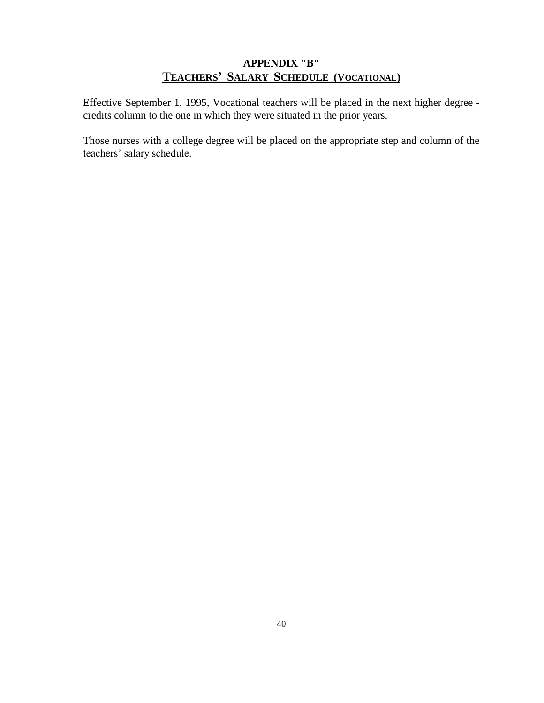# **APPENDIX "B" TEACHERS' SALARY SCHEDULE (VOCATIONAL)**

Effective September 1, 1995, Vocational teachers will be placed in the next higher degree credits column to the one in which they were situated in the prior years.

Those nurses with a college degree will be placed on the appropriate step and column of the teachers' salary schedule.